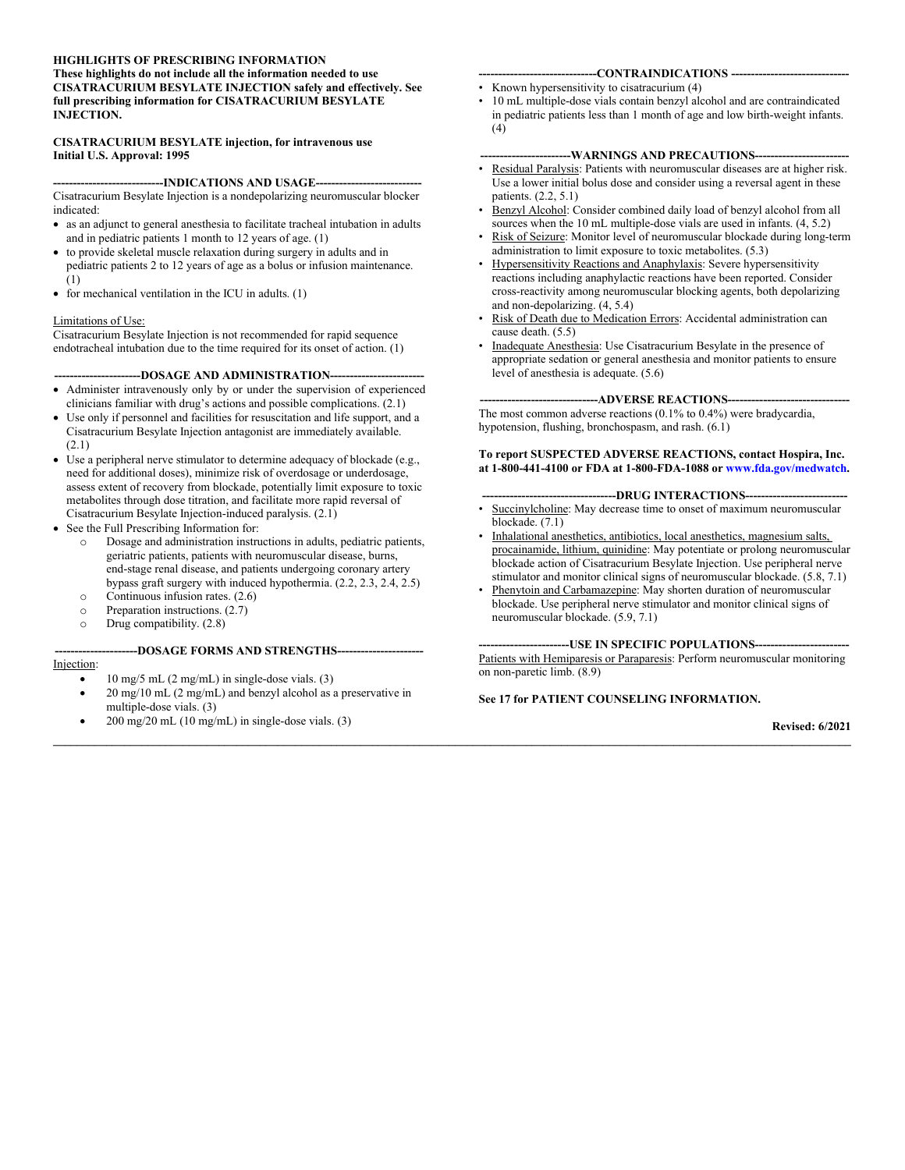#### **HIGHLIGHTS OF PRESCRIBING INFORMATION These highlights do not include all the information needed to use CISATRACURIUM BESYLATE INJECTION safely and effectively. See full prescribing information for CISATRACURIUM BESYLATE INJECTION.**

#### **CISATRACURIUM BESYLATE injection, for intravenous use Initial U.S. Approval: 1995**

#### ----INDICATIONS AND USAGE----

Cisatracurium Besylate Injection is a nondepolarizing neuromuscular blocker indicated:

- as an adjunct to general anesthesia to facilitate tracheal intubation in adults and in pediatric patients 1 month to 12 years of age. (1)
- to provide skeletal muscle relaxation during surgery in adults and in pediatric patients 2 to 12 years of age as a bolus or infusion maintenance. (1)
- $\bullet$  for mechanical ventilation in the ICU in adults. (1)

#### Limitations of Use:

Cisatracurium Besylate Injection is not recommended for rapid sequence endotracheal intubation due to the time required for its onset of action. (1)

--DOSAGE AND ADMINISTRATION---

- Administer intravenously only by or under the supervision of experienced clinicians familiar with drug's actions and possible complications. (2.1)
- Use only if personnel and facilities for resuscitation and life support, and a Cisatracurium Besylate Injection antagonist are immediately available. (2.1)
- Use a peripheral nerve stimulator to determine adequacy of blockade (e.g., need for additional doses), minimize risk of overdosage or underdosage, assess extent of recovery from blockade, potentially limit exposure to toxic metabolites through dose titration, and facilitate more rapid reversal of Cisatracurium Besylate Injection-induced paralysis. (2.1)
- See the Full Prescribing Information for:
	- o Dosage and administration instructions in adults, pediatric patients, geriatric patients, patients with neuromuscular disease, burns, end-stage renal disease, and patients undergoing coronary artery bypass graft surgery with induced hypothermia. (2.2, 2.3, 2.4, 2.5)
	- o Continuous infusion rates. (2.6)
	- o Preparation instructions. (2.7)
	- o Drug compatibility. (2.8)

#### **---------------------DOSAGE FORMS AND STRENGTHS----------------------**

#### Injection:

- 10 mg/5 mL (2 mg/mL) in single-dose vials. (3)
- 20 mg/10 mL (2 mg/mL) and benzyl alcohol as a preservative in multiple-dose vials. (3)
- 200 mg/20 mL (10 mg/mL) in single-dose vials. (3)

#### **------------------------------CONTRAINDICATIONS ------------------------------**

- Known hypersensitivity to cisatracurium (4)
- 10 mL multiple-dose vials contain benzyl alcohol and are contraindicated in pediatric patients less than 1 month of age and low birth-weight infants.  $(4)$

#### **-----------------------WARNINGS AND PRECAUTIONS------------------------**

- Residual Paralysis: Patients with neuromuscular diseases are at higher risk. Use a lower initial bolus dose and consider using a reversal agent in these patients. (2.2, 5.1)
- Benzyl Alcohol: Consider combined daily load of benzyl alcohol from all sources when the 10 mL multiple-dose vials are used in infants. (4, 5.2)
- Risk of Seizure: Monitor level of neuromuscular blockade during long-term administration to limit exposure to toxic metabolites. (5.3)
- Hypersensitivity Reactions and Anaphylaxis: Severe hypersensitivity reactions including anaphylactic reactions have been reported. Consider cross-reactivity among neuromuscular blocking agents, both depolarizing and non-depolarizing. (4, 5.4)
- Risk of Death due to Medication Errors: Accidental administration can cause death. (5.5)
- Inadequate Anesthesia: Use Cisatracurium Besylate in the presence of appropriate sedation or general anesthesia and monitor patients to ensure level of anesthesia is adequate. (5.6)

#### ----ADVERSE REACTIONS---

The most common adverse reactions (0.1% to 0.4%) were bradycardia, hypotension, flushing, bronchospasm, and rash. (6.1)

#### **To report SUSPECTED ADVERSE REACTIONS, contact Hospira, Inc. at 1-800-441-4100 or FDA at 1-800-FDA-1088 or [www.fda.gov/medwatch](http://www.fda.gov/medwatch).**

#### -DRUG INTERACTIONS-

- Succinylcholine: May decrease time to onset of maximum neuromuscular blockade. (7.1)
- Inhalational anesthetics, antibiotics, local anesthetics, magnesium salts, procainamide, lithium, quinidine: May potentiate or prolong neuromuscular blockade action of Cisatracurium Besylate Injection. Use peripheral nerve stimulator and monitor clinical signs of neuromuscular blockade. (5.8, 7.1)
- Phenytoin and Carbamazepine: May shorten duration of neuromuscular blockade. Use peripheral nerve stimulator and monitor clinical signs of neuromuscular blockade. (5.9, 7.1)

#### --USE IN SPECIFIC POPULATIONS---

Patients with Hemiparesis or Paraparesis: Perform neuromuscular monitoring on non-paretic limb. (8.9)

#### **See 17 for PATIENT COUNSELING INFORMATION.**

 $\mathcal{L} = \{ \mathcal{L} = \{ \mathcal{L} = \{ \mathcal{L} = \{ \mathcal{L} = \{ \mathcal{L} = \{ \mathcal{L} = \{ \mathcal{L} = \{ \mathcal{L} = \{ \mathcal{L} = \{ \mathcal{L} = \{ \mathcal{L} = \{ \mathcal{L} = \{ \mathcal{L} = \{ \mathcal{L} = \{ \mathcal{L} = \{ \mathcal{L} = \{ \mathcal{L} = \{ \mathcal{L} = \{ \mathcal{L} = \{ \mathcal{L} = \{ \mathcal{L} = \{ \mathcal{L} = \{ \mathcal{L} = \{ \mathcal{$ 

**Revised: 6/2021**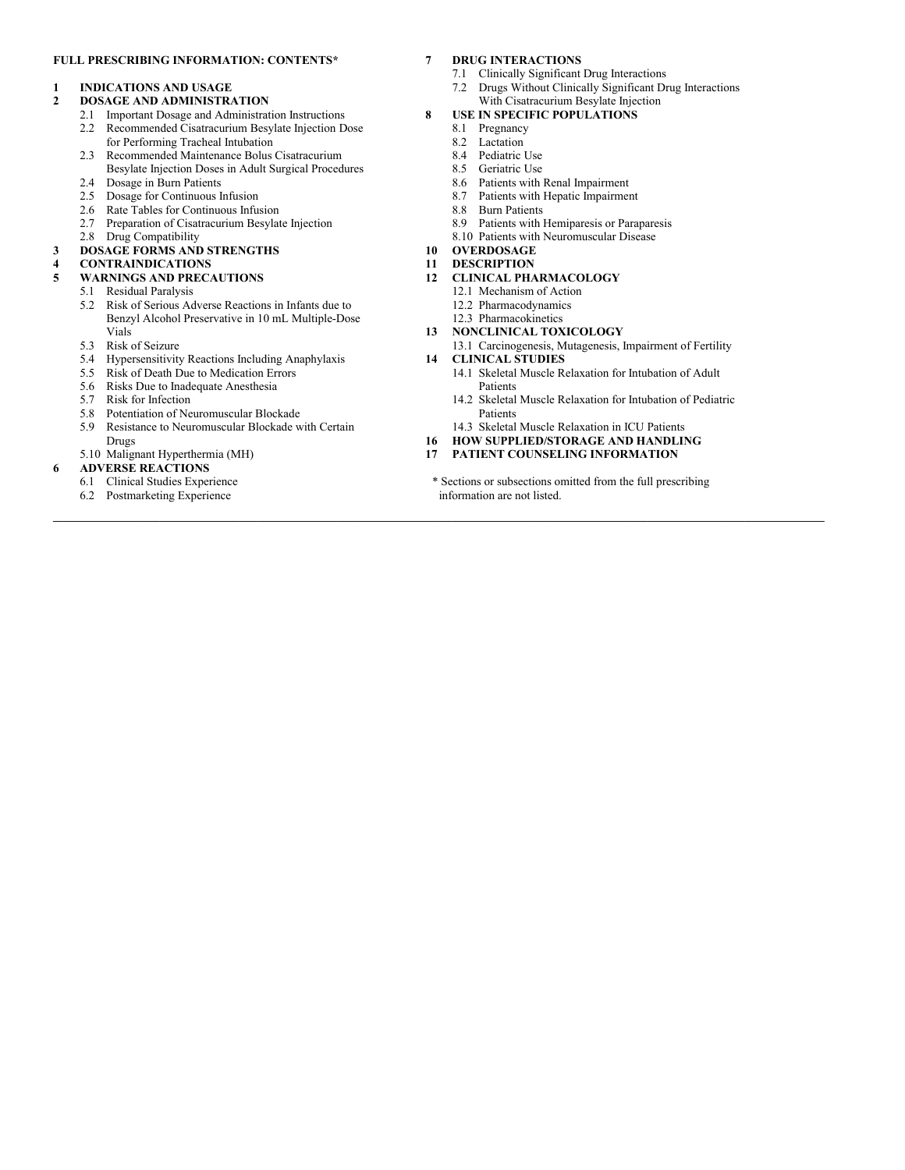#### **FULL PRESCRIBING INFORMATION: CONTENTS\***

#### **1 INDICATIONS AND USAGE**

#### **2 DOSAGE AND ADMINISTRATION**

- 2.1 Important Dosage and Administration Instructions<br>2.2 Recommended Cisatracurium Besylate Injection D Recommended Cisatracurium Besylate Injection Dose
- for Performing Tracheal Intubation 2.3 Recommended Maintenance Bolus Cisatracurium
- Besylate Injection Doses in Adult Surgical Procedures 2.4 Dosage in Burn Patients
- 2.5 Dosage for Continuous Infusion
- 
- 2.6 Rate Tables for Continuous Infusion<br>2.7 Preparation of Cisatracurium Besylat Preparation of Cisatracurium Besylate Injection
- 2.8 Drug Compatibility
- **3 DOSAGE FORMS AND STRENGTHS**
- **4 CONTRAINDICATIONS**

#### **5 WARNINGS AND PRECAUTIONS**

- 5.1 Residual Paralysis
- 5.2 Risk of Serious Adverse Reactions in Infants due to Benzyl Alcohol Preservative in 10 mL Multiple-Dose Vials
- 5.3 Risk of Seizure
- 5.4 Hypersensitivity Reactions Including Anaphylaxis
- 5.5 Risk of Death Due to Medication Errors
- 5.6 Risks Due to Inadequate Anesthesia
- 5.7 Risk for Infection
- 5.8 Potentiation of Neuromuscular Blockade
- 5.9 Resistance to Neuromuscular Blockade with Certain Drugs
- 5.10 Malignant Hyperthermia (MH)
- **6 ADVERSE REACTIONS**
	- 6.1 Clinical Studies Experience
	- 6.2 Postmarketing Experience

#### **7 DRUG INTERACTIONS**

- 7.1 Clinically Significant Drug Interactions
- 7.2 Drugs Without Clinically Significant Drug Interactions
- With Cisatracurium Besylate Injection **8 USE IN SPECIFIC POPULATIONS**
	- 8.1 Pregnancy
	- 8.2 Lactation
	-
	- 8.4 Pediatric Use<br>8.5 Geriatric Use Geriatric Use
	- 8.6 Patients with Renal Impairment
	- 8.7 Patients with Hepatic Impairment
	- 8.8 Burn Patients
	- 8.9 Patients with Hemiparesis or Paraparesis
	- 8.10 Patients with Neuromuscular Disease
- **10 OVERDOSAGE**
- **11 DESCRIPTION**
- **12 CLINICAL PHARMACOLOGY**
	- 12.1 Mechanism of Action
	- 12.2 Pharmacodynamics
- 12.3 Pharmacokinetics
- **13 NONCLINICAL TOXICOLOGY**
- 13.1 Carcinogenesis, Mutagenesis, Impairment of Fertility **14 CLINICAL STUDIES**
	- 14.1 Skeletal Muscle Relaxation for Intubation of Adult Patients
	- 14.2 Skeletal Muscle Relaxation for Intubation of Pediatric Patients
	- 14.3 Skeletal Muscle Relaxation in ICU Patients
- **16 HOW SUPPLIED/STORAGE AND HANDLING**
- **17 PATIENT COUNSELING INFORMATION**
- \* Sections or subsections omitted from the full prescribing information are not listed.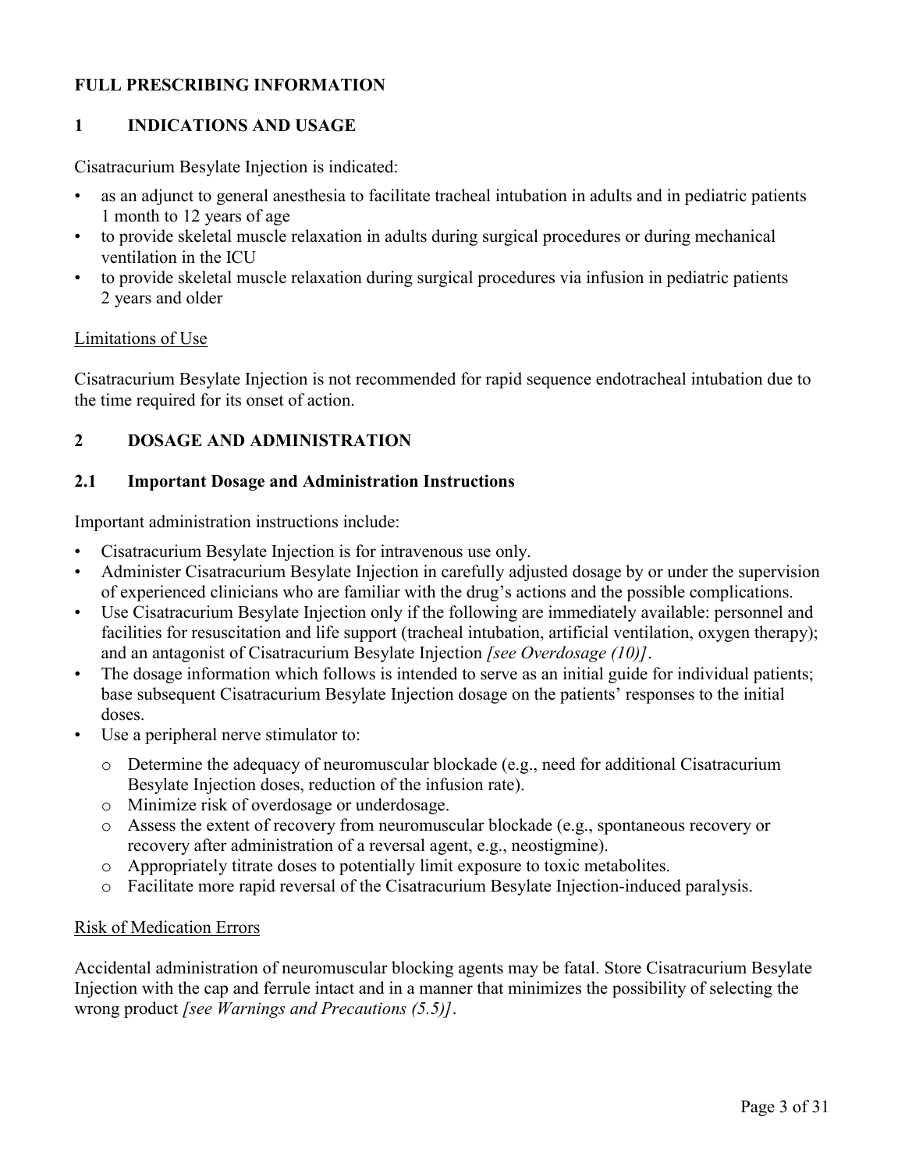# **FULL PRESCRIBING INFORMATION**

# **1 INDICATIONS AND USAGE**

Cisatracurium Besylate Injection is indicated:

- as an adjunct to general anesthesia to facilitate tracheal intubation in adults and in pediatric patients 1 month to 12 years of age
- to provide skeletal muscle relaxation in adults during surgical procedures or during mechanical ventilation in the ICU
- to provide skeletal muscle relaxation during surgical procedures via infusion in pediatric patients 2 years and older

#### Limitations of Use

Cisatracurium Besylate Injection is not recommended for rapid sequence endotracheal intubation due to the time required for its onset of action.

## **2 DOSAGE AND ADMINISTRATION**

#### **2.1 Important Dosage and Administration Instructions**

Important administration instructions include:

- Cisatracurium Besylate Injection is for intravenous use only.
- Administer Cisatracurium Besylate Injection in carefully adjusted dosage by or under the supervision of experienced clinicians who are familiar with the drug's actions and the possible complications.
- Use Cisatracurium Besylate Injection only if the following are immediately available: personnel and facilities for resuscitation and life support (tracheal intubation, artificial ventilation, oxygen therapy); and an antagonist of Cisatracurium Besylate Injection *[see Overdosage (10)]*.
- The dosage information which follows is intended to serve as an initial guide for individual patients; base subsequent Cisatracurium Besylate Injection dosage on the patients' responses to the initial doses.
- Use a peripheral nerve stimulator to:
	- o Determine the adequacy of neuromuscular blockade (e.g., need for additional Cisatracurium Besylate Injection doses, reduction of the infusion rate).
	- o Minimize risk of overdosage or underdosage.
	- o Assess the extent of recovery from neuromuscular blockade (e.g., spontaneous recovery or recovery after administration of a reversal agent, e.g., neostigmine).
	- o Appropriately titrate doses to potentially limit exposure to toxic metabolites.
	- o Facilitate more rapid reversal of the Cisatracurium Besylate Injection-induced paralysis.

#### Risk of Medication Errors

Accidental administration of neuromuscular blocking agents may be fatal. Store Cisatracurium Besylate Injection with the cap and ferrule intact and in a manner that minimizes the possibility of selecting the wrong product *[see Warnings and Precautions (5.5)]*.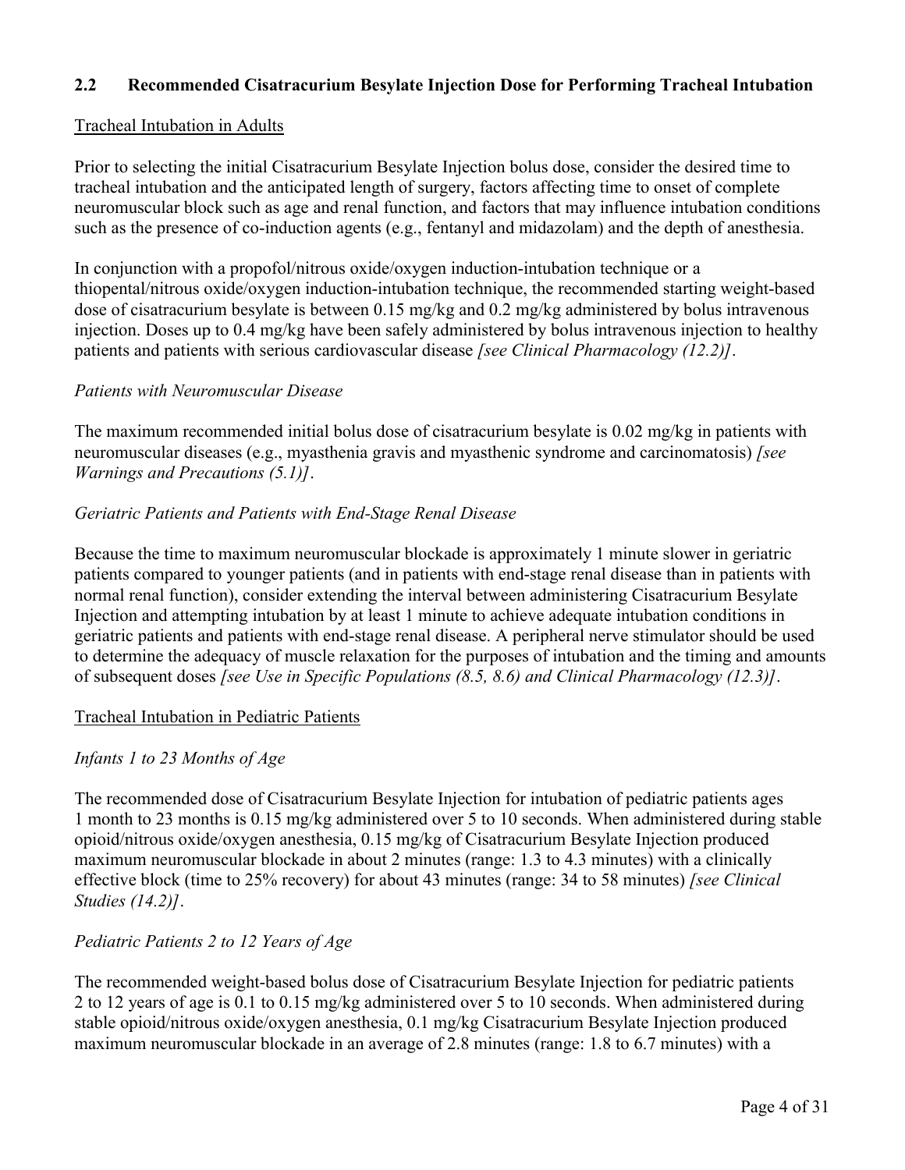# **2.2 Recommended Cisatracurium Besylate Injection Dose for Performing Tracheal Intubation**

#### Tracheal Intubation in Adults

Prior to selecting the initial Cisatracurium Besylate Injection bolus dose, consider the desired time to tracheal intubation and the anticipated length of surgery, factors affecting time to onset of complete neuromuscular block such as age and renal function, and factors that may influence intubation conditions such as the presence of co-induction agents (e.g., fentanyl and midazolam) and the depth of anesthesia.

In conjunction with a propofol/nitrous oxide/oxygen induction-intubation technique or a thiopental/nitrous oxide/oxygen induction-intubation technique, the recommended starting weight-based dose of cisatracurium besylate is between 0.15 mg/kg and 0.2 mg/kg administered by bolus intravenous injection. Doses up to 0.4 mg/kg have been safely administered by bolus intravenous injection to healthy patients and patients with serious cardiovascular disease *[see Clinical Pharmacology (12.2)]*.

#### *Patients with Neuromuscular Disease*

The maximum recommended initial bolus dose of cisatracurium besylate is 0.02 mg/kg in patients with neuromuscular diseases (e.g., myasthenia gravis and myasthenic syndrome and carcinomatosis) *[see Warnings and Precautions (5.1)]*.

## *Geriatric Patients and Patients with End-Stage Renal Disease*

Because the time to maximum neuromuscular blockade is approximately 1 minute slower in geriatric patients compared to younger patients (and in patients with end-stage renal disease than in patients with normal renal function), consider extending the interval between administering Cisatracurium Besylate Injection and attempting intubation by at least 1 minute to achieve adequate intubation conditions in geriatric patients and patients with end-stage renal disease. A peripheral nerve stimulator should be used to determine the adequacy of muscle relaxation for the purposes of intubation and the timing and amounts of subsequent doses *[see Use in Specific Populations (8.5, 8.6) and Clinical Pharmacology (12.3)]*.

#### Tracheal Intubation in Pediatric Patients

## *Infants 1 to 23 Months of Age*

The recommended dose of Cisatracurium Besylate Injection for intubation of pediatric patients ages 1 month to 23 months is 0.15 mg/kg administered over 5 to 10 seconds. When administered during stable opioid/nitrous oxide/oxygen anesthesia, 0.15 mg/kg of Cisatracurium Besylate Injection produced maximum neuromuscular blockade in about 2 minutes (range: 1.3 to 4.3 minutes) with a clinically effective block (time to 25% recovery) for about 43 minutes (range: 34 to 58 minutes) *[see Clinical Studies (14.2)]*.

## *Pediatric Patients 2 to 12 Years of Age*

The recommended weight-based bolus dose of Cisatracurium Besylate Injection for pediatric patients 2 to 12 years of age is 0.1 to 0.15 mg/kg administered over 5 to 10 seconds. When administered during stable opioid/nitrous oxide/oxygen anesthesia, 0.1 mg/kg Cisatracurium Besylate Injection produced maximum neuromuscular blockade in an average of 2.8 minutes (range: 1.8 to 6.7 minutes) with a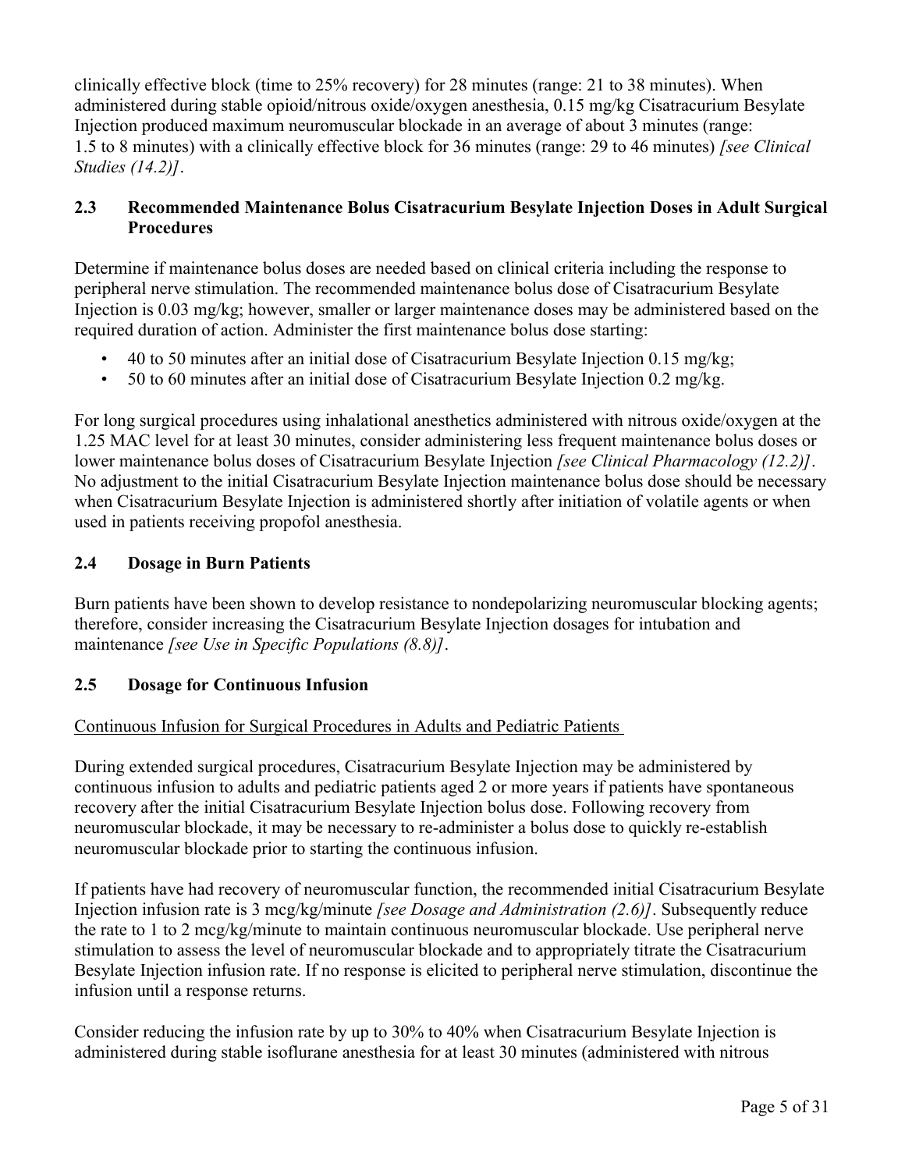clinically effective block (time to 25% recovery) for 28 minutes (range: 21 to 38 minutes). When administered during stable opioid/nitrous oxide/oxygen anesthesia, 0.15 mg/kg Cisatracurium Besylate Injection produced maximum neuromuscular blockade in an average of about 3 minutes (range: 1.5 to 8 minutes) with a clinically effective block for 36 minutes (range: 29 to 46 minutes) *[see Clinical Studies (14.2)]*.

# **2.3 Recommended Maintenance Bolus Cisatracurium Besylate Injection Doses in Adult Surgical Procedures**

Determine if maintenance bolus doses are needed based on clinical criteria including the response to peripheral nerve stimulation. The recommended maintenance bolus dose of Cisatracurium Besylate Injection is 0.03 mg/kg; however, smaller or larger maintenance doses may be administered based on the required duration of action. Administer the first maintenance bolus dose starting:

- 40 to 50 minutes after an initial dose of Cisatracurium Besylate Injection  $0.15 \text{ mg/kg}$ ;
- $\cdot$  50 to 60 minutes after an initial dose of Cisatracurium Besylate Injection 0.2 mg/kg.

For long surgical procedures using inhalational anesthetics administered with nitrous oxide/oxygen at the 1.25 MAC level for at least 30 minutes, consider administering less frequent maintenance bolus doses or lower maintenance bolus doses of Cisatracurium Besylate Injection *[see Clinical Pharmacology (12.2)]*. No adjustment to the initial Cisatracurium Besylate Injection maintenance bolus dose should be necessary when Cisatracurium Besylate Injection is administered shortly after initiation of volatile agents or when used in patients receiving propofol anesthesia.

# **2.4 Dosage in Burn Patients**

Burn patients have been shown to develop resistance to nondepolarizing neuromuscular blocking agents; therefore, consider increasing the Cisatracurium Besylate Injection dosages for intubation and maintenance *[see Use in Specific Populations (8.8)]*.

## **2.5 Dosage for Continuous Infusion**

## Continuous Infusion for Surgical Procedures in Adults and Pediatric Patients

During extended surgical procedures, Cisatracurium Besylate Injection may be administered by continuous infusion to adults and pediatric patients aged 2 or more years if patients have spontaneous recovery after the initial Cisatracurium Besylate Injection bolus dose. Following recovery from neuromuscular blockade, it may be necessary to re-administer a bolus dose to quickly re-establish neuromuscular blockade prior to starting the continuous infusion.

If patients have had recovery of neuromuscular function, the recommended initial Cisatracurium Besylate Injection infusion rate is 3 mcg/kg/minute *[see Dosage and Administration (2.6)]*. Subsequently reduce the rate to 1 to 2 mcg/kg/minute to maintain continuous neuromuscular blockade. Use peripheral nerve stimulation to assess the level of neuromuscular blockade and to appropriately titrate the Cisatracurium Besylate Injection infusion rate. If no response is elicited to peripheral nerve stimulation, discontinue the infusion until a response returns.

Consider reducing the infusion rate by up to 30% to 40% when Cisatracurium Besylate Injection is administered during stable isoflurane anesthesia for at least 30 minutes (administered with nitrous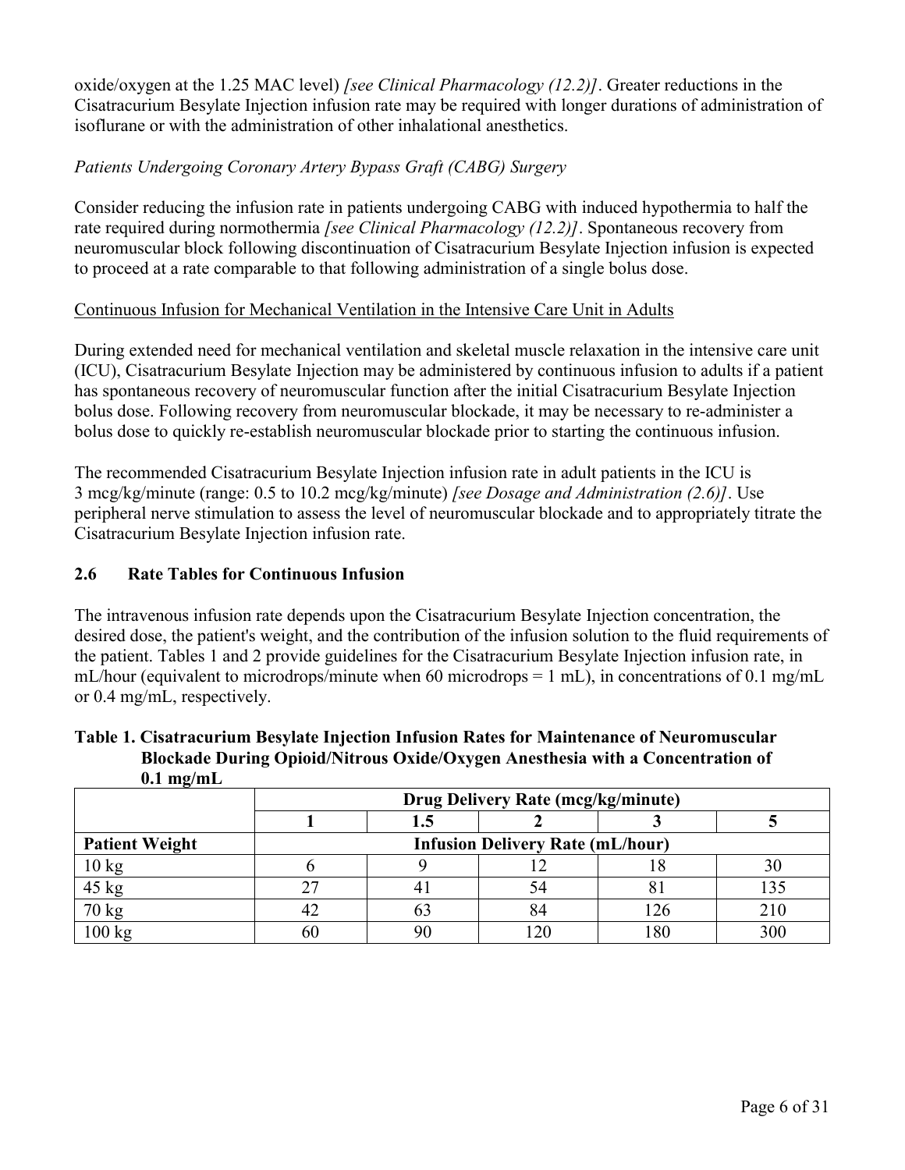oxide/oxygen at the 1.25 MAC level) *[see Clinical Pharmacology (12.2)]*. Greater reductions in the Cisatracurium Besylate Injection infusion rate may be required with longer durations of administration of isoflurane or with the administration of other inhalational anesthetics.

# *Patients Undergoing Coronary Artery Bypass Graft (CABG) Surgery*

Consider reducing the infusion rate in patients undergoing CABG with induced hypothermia to half the rate required during normothermia *[see Clinical Pharmacology (12.2)]*. Spontaneous recovery from neuromuscular block following discontinuation of Cisatracurium Besylate Injection infusion is expected to proceed at a rate comparable to that following administration of a single bolus dose.

# Continuous Infusion for Mechanical Ventilation in the Intensive Care Unit in Adults

During extended need for mechanical ventilation and skeletal muscle relaxation in the intensive care unit (ICU), Cisatracurium Besylate Injection may be administered by continuous infusion to adults if a patient has spontaneous recovery of neuromuscular function after the initial Cisatracurium Besylate Injection bolus dose. Following recovery from neuromuscular blockade, it may be necessary to re-administer a bolus dose to quickly re-establish neuromuscular blockade prior to starting the continuous infusion.

The recommended Cisatracurium Besylate Injection infusion rate in adult patients in the ICU is 3 mcg/kg/minute (range: 0.5 to 10.2 mcg/kg/minute) *[see Dosage and Administration (2.6)]*. Use peripheral nerve stimulation to assess the level of neuromuscular blockade and to appropriately titrate the Cisatracurium Besylate Injection infusion rate.

## **2.6 Rate Tables for Continuous Infusion**

The intravenous infusion rate depends upon the Cisatracurium Besylate Injection concentration, the desired dose, the patient's weight, and the contribution of the infusion solution to the fluid requirements of the patient. Tables 1 and 2 provide guidelines for the Cisatracurium Besylate Injection infusion rate, in mL/hour (equivalent to microdrops/minute when 60 microdrops = 1 mL), in concentrations of 0.1 mg/mL or 0.4 mg/mL, respectively.

|                       | <b>Drug Delivery Rate (mcg/kg/minute)</b> |    |     |            |     |  |  |
|-----------------------|-------------------------------------------|----|-----|------------|-----|--|--|
|                       |                                           |    |     |            |     |  |  |
| <b>Patient Weight</b> | <b>Infusion Delivery Rate (mL/hour)</b>   |    |     |            |     |  |  |
| $10 \text{ kg}$       |                                           |    |     | $^{\circ}$ | υc  |  |  |
| $45$ kg               |                                           | 4  |     |            |     |  |  |
| $70 \text{ kg}$       |                                           | O. | 84  | 26         |     |  |  |
| 100 kg                |                                           | 90 | 120 | 180        | 300 |  |  |

#### **Table 1. Cisatracurium Besylate Injection Infusion Rates for Maintenance of Neuromuscular Blockade During Opioid/Nitrous Oxide/Oxygen Anesthesia with a Concentration of 0.1 mg/mL**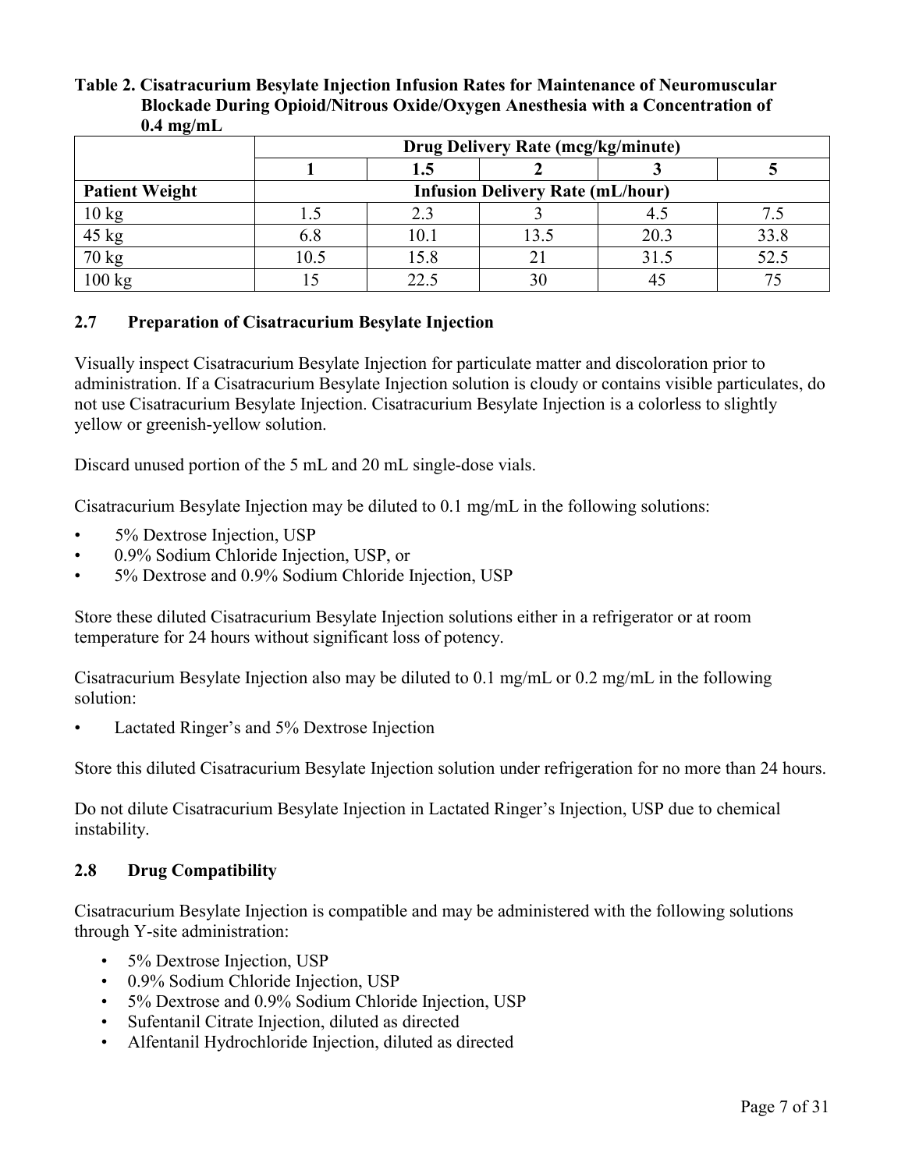#### **Table 2. Cisatracurium Besylate Injection Infusion Rates for Maintenance of Neuromuscular Blockade During Opioid/Nitrous Oxide/Oxygen Anesthesia with a Concentration of 0.4 mg/mL**

| -                     |      | Drug Delivery Rate (mcg/kg/minute)      |      |      |      |  |  |  |
|-----------------------|------|-----------------------------------------|------|------|------|--|--|--|
|                       |      | 1.5                                     |      |      |      |  |  |  |
| <b>Patient Weight</b> |      | <b>Infusion Delivery Rate (mL/hour)</b> |      |      |      |  |  |  |
| $10 \text{ kg}$       |      | 2.3                                     |      |      |      |  |  |  |
| $45$ kg               | 6.8  | 10.1                                    | 13.5 | 20.3 | 33.8 |  |  |  |
| 70 kg                 | 10.5 | 15.8                                    |      | 31.5 | 52.5 |  |  |  |
| 100 kg                |      | 22.5                                    | 30   |      |      |  |  |  |

## **2.7 Preparation of Cisatracurium Besylate Injection**

Visually inspect Cisatracurium Besylate Injection for particulate matter and discoloration prior to administration. If a Cisatracurium Besylate Injection solution is cloudy or contains visible particulates, do not use Cisatracurium Besylate Injection. Cisatracurium Besylate Injection is a colorless to slightly yellow or greenish-yellow solution.

Discard unused portion of the 5 mL and 20 mL single-dose vials.

Cisatracurium Besylate Injection may be diluted to 0.1 mg/mL in the following solutions:

- 5% Dextrose Injection, USP
- 0.9% Sodium Chloride Injection, USP, or
- 5% Dextrose and 0.9% Sodium Chloride Injection, USP

Store these diluted Cisatracurium Besylate Injection solutions either in a refrigerator or at room temperature for 24 hours without significant loss of potency.

Cisatracurium Besylate Injection also may be diluted to 0.1 mg/mL or 0.2 mg/mL in the following solution:

• Lactated Ringer's and 5% Dextrose Injection

Store this diluted Cisatracurium Besylate Injection solution under refrigeration for no more than 24 hours.

Do not dilute Cisatracurium Besylate Injection in Lactated Ringer's Injection, USP due to chemical instability.

## **2.8 Drug Compatibility**

Cisatracurium Besylate Injection is compatible and may be administered with the following solutions through Y-site administration:

- 5% Dextrose Injection, USP
- 0.9% Sodium Chloride Injection, USP
- 5% Dextrose and 0.9% Sodium Chloride Injection, USP
- Sufentanil Citrate Injection, diluted as directed
- Alfentanil Hydrochloride Injection, diluted as directed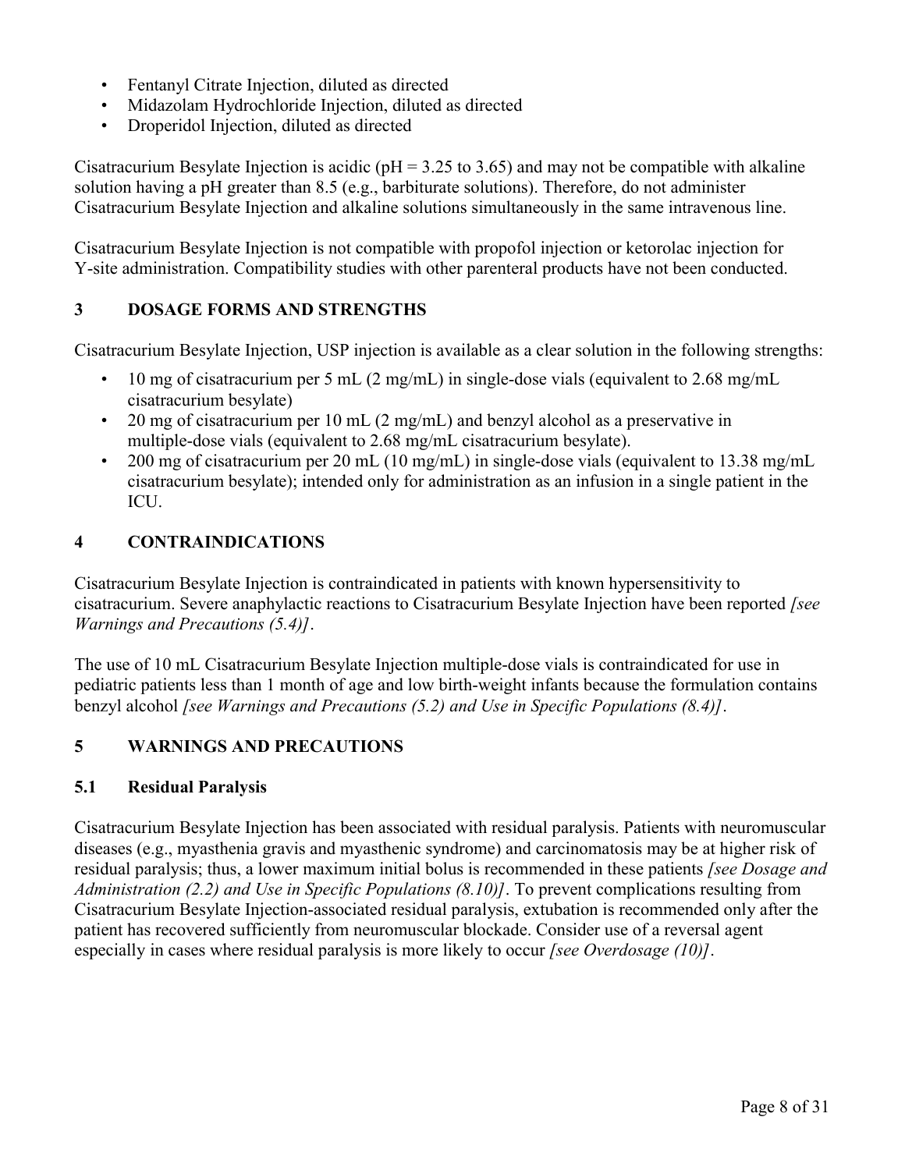- Fentanyl Citrate Injection, diluted as directed
- Midazolam Hydrochloride Injection, diluted as directed
- Droperidol Injection, diluted as directed

Cisatracurium Besylate Injection is acidic ( $pH = 3.25$  to 3.65) and may not be compatible with alkaline solution having a pH greater than 8.5 (e.g., barbiturate solutions). Therefore, do not administer Cisatracurium Besylate Injection and alkaline solutions simultaneously in the same intravenous line.

Cisatracurium Besylate Injection is not compatible with propofol injection or ketorolac injection for Y-site administration. Compatibility studies with other parenteral products have not been conducted.

# **3 DOSAGE FORMS AND STRENGTHS**

Cisatracurium Besylate Injection, USP injection is available as a clear solution in the following strengths:

- 10 mg of cisatracurium per 5 mL (2 mg/mL) in single-dose vials (equivalent to 2.68 mg/mL cisatracurium besylate)
- 20 mg of cisatracurium per 10 mL (2 mg/mL) and benzyl alcohol as a preservative in multiple-dose vials (equivalent to 2.68 mg/mL cisatracurium besylate).
- 200 mg of cisatracurium per 20 mL (10 mg/mL) in single-dose vials (equivalent to 13.38 mg/mL) cisatracurium besylate); intended only for administration as an infusion in a single patient in the ICU.

# **4 CONTRAINDICATIONS**

Cisatracurium Besylate Injection is contraindicated in patients with known hypersensitivity to cisatracurium. Severe anaphylactic reactions to Cisatracurium Besylate Injection have been reported *[see Warnings and Precautions (5.4)]*.

The use of 10 mL Cisatracurium Besylate Injection multiple-dose vials is contraindicated for use in pediatric patients less than 1 month of age and low birth-weight infants because the formulation contains benzyl alcohol *[see Warnings and Precautions (5.2) and Use in Specific Populations (8.4)]*.

# **5 WARNINGS AND PRECAUTIONS**

## **5.1 Residual Paralysis**

Cisatracurium Besylate Injection has been associated with residual paralysis. Patients with neuromuscular diseases (e.g., myasthenia gravis and myasthenic syndrome) and carcinomatosis may be at higher risk of residual paralysis; thus, a lower maximum initial bolus is recommended in these patients *[see Dosage and Administration (2.2) and Use in Specific Populations (8.10)]*. To prevent complications resulting from Cisatracurium Besylate Injection-associated residual paralysis, extubation is recommended only after the patient has recovered sufficiently from neuromuscular blockade. Consider use of a reversal agent especially in cases where residual paralysis is more likely to occur *[see Overdosage (10)]*.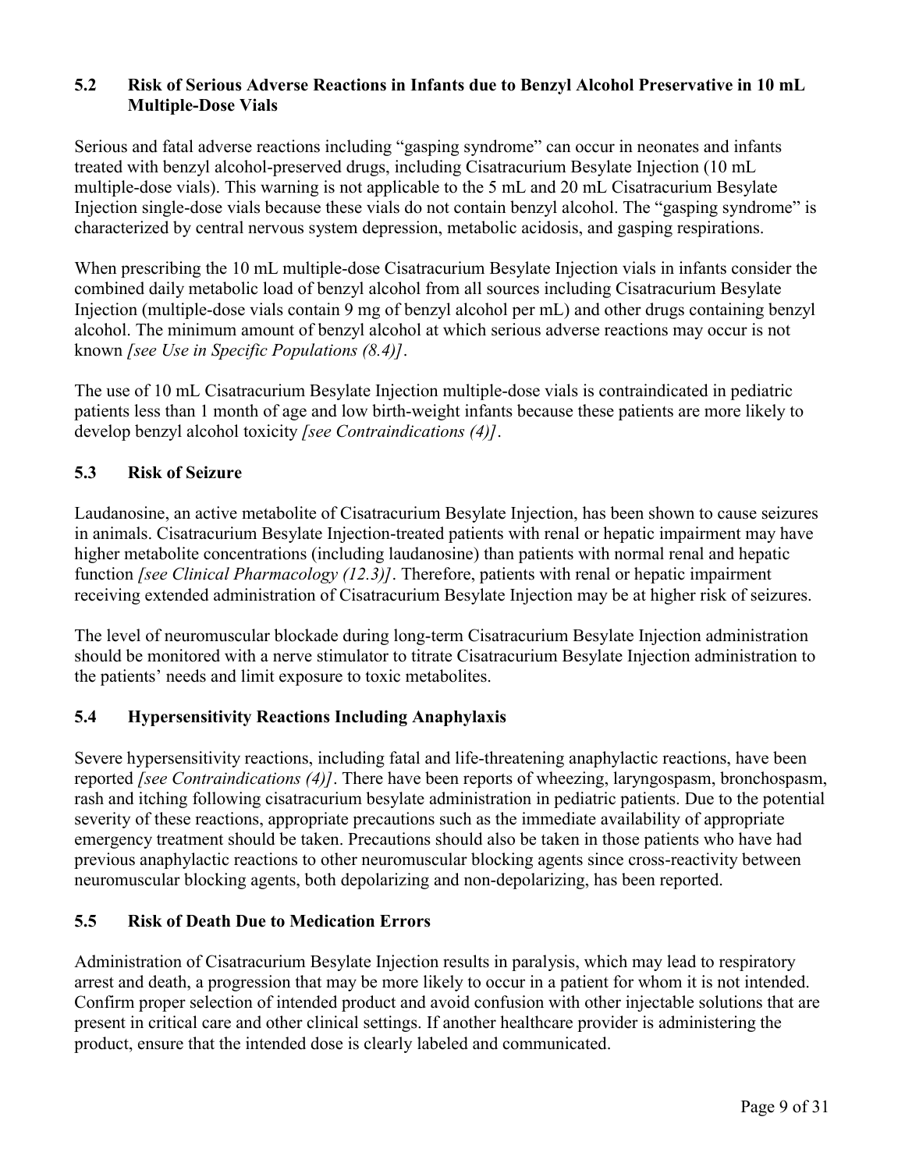## **5.2 Risk of Serious Adverse Reactions in Infants due to Benzyl Alcohol Preservative in 10 mL Multiple-Dose Vials**

Serious and fatal adverse reactions including "gasping syndrome" can occur in neonates and infants treated with benzyl alcohol-preserved drugs, including Cisatracurium Besylate Injection (10 mL multiple-dose vials). This warning is not applicable to the 5 mL and 20 mL Cisatracurium Besylate Injection single-dose vials because these vials do not contain benzyl alcohol. The "gasping syndrome" is characterized by central nervous system depression, metabolic acidosis, and gasping respirations.

When prescribing the 10 mL multiple-dose Cisatracurium Besylate Injection vials in infants consider the combined daily metabolic load of benzyl alcohol from all sources including Cisatracurium Besylate Injection (multiple-dose vials contain 9 mg of benzyl alcohol per mL) and other drugs containing benzyl alcohol. The minimum amount of benzyl alcohol at which serious adverse reactions may occur is not known *[see Use in Specific Populations (8.4)]*.

The use of 10 mL Cisatracurium Besylate Injection multiple-dose vials is contraindicated in pediatric patients less than 1 month of age and low birth-weight infants because these patients are more likely to develop benzyl alcohol toxicity *[see Contraindications (4)]*.

# **5.3 Risk of Seizure**

Laudanosine, an active metabolite of Cisatracurium Besylate Injection, has been shown to cause seizures in animals. Cisatracurium Besylate Injection-treated patients with renal or hepatic impairment may have higher metabolite concentrations (including laudanosine) than patients with normal renal and hepatic function *[see Clinical Pharmacology (12.3)]*. Therefore, patients with renal or hepatic impairment receiving extended administration of Cisatracurium Besylate Injection may be at higher risk of seizures.

The level of neuromuscular blockade during long-term Cisatracurium Besylate Injection administration should be monitored with a nerve stimulator to titrate Cisatracurium Besylate Injection administration to the patients' needs and limit exposure to toxic metabolites.

## **5.4 Hypersensitivity Reactions Including Anaphylaxis**

Severe hypersensitivity reactions, including fatal and life-threatening anaphylactic reactions, have been reported *[see Contraindications (4)]*. There have been reports of wheezing, laryngospasm, bronchospasm, rash and itching following cisatracurium besylate administration in pediatric patients. Due to the potential severity of these reactions, appropriate precautions such as the immediate availability of appropriate emergency treatment should be taken. Precautions should also be taken in those patients who have had previous anaphylactic reactions to other neuromuscular blocking agents since cross-reactivity between neuromuscular blocking agents, both depolarizing and non-depolarizing, has been reported.

## **5.5 Risk of Death Due to Medication Errors**

Administration of Cisatracurium Besylate Injection results in paralysis, which may lead to respiratory arrest and death, a progression that may be more likely to occur in a patient for whom it is not intended. Confirm proper selection of intended product and avoid confusion with other injectable solutions that are present in critical care and other clinical settings. If another healthcare provider is administering the product, ensure that the intended dose is clearly labeled and communicated.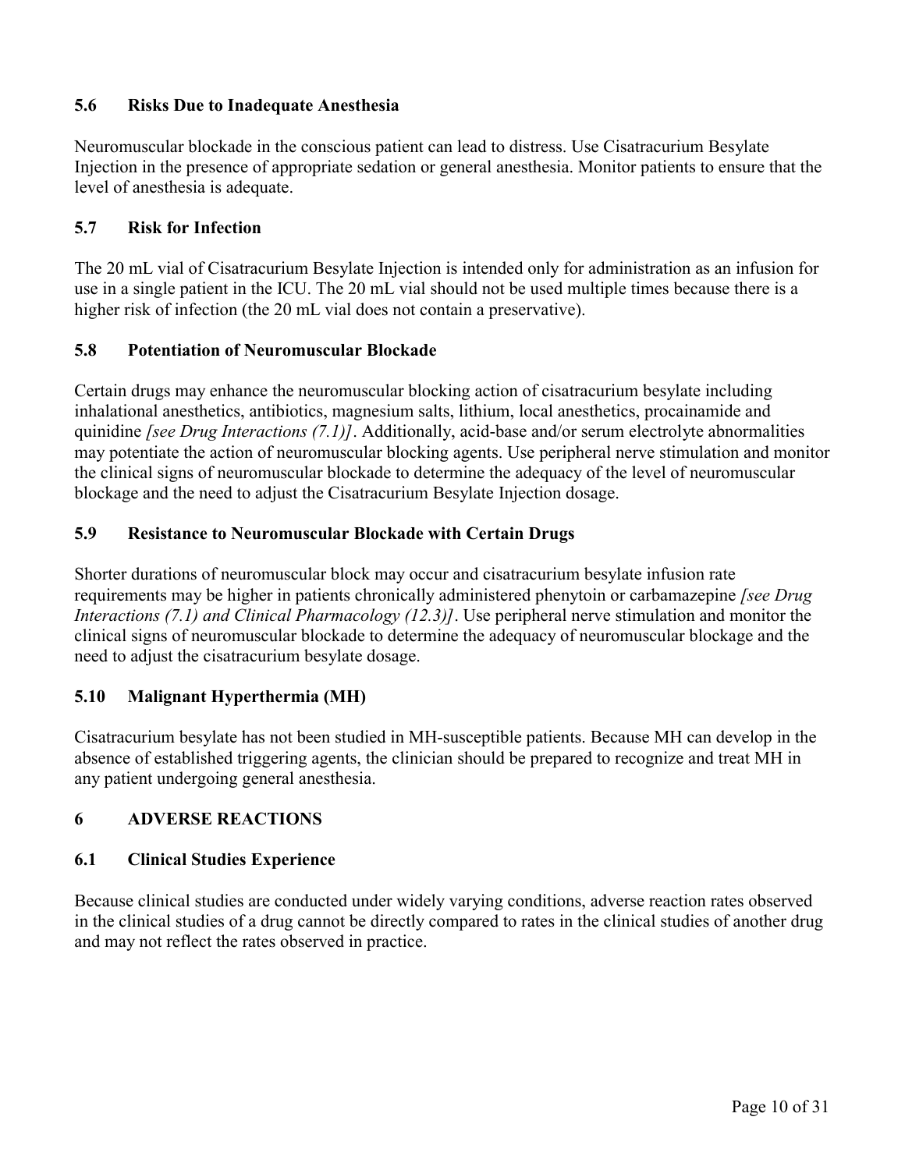# **5.6 Risks Due to Inadequate Anesthesia**

Neuromuscular blockade in the conscious patient can lead to distress. Use Cisatracurium Besylate Injection in the presence of appropriate sedation or general anesthesia. Monitor patients to ensure that the level of anesthesia is adequate.

## **5.7 Risk for Infection**

The 20 mL vial of Cisatracurium Besylate Injection is intended only for administration as an infusion for use in a single patient in the ICU. The 20 mL vial should not be used multiple times because there is a higher risk of infection (the 20 mL vial does not contain a preservative).

## **5.8 Potentiation of Neuromuscular Blockade**

Certain drugs may enhance the neuromuscular blocking action of cisatracurium besylate including inhalational anesthetics, antibiotics, magnesium salts, lithium, local anesthetics, procainamide and quinidine *[see Drug Interactions (7.1)]*. Additionally, acid-base and/or serum electrolyte abnormalities may potentiate the action of neuromuscular blocking agents. Use peripheral nerve stimulation and monitor the clinical signs of neuromuscular blockade to determine the adequacy of the level of neuromuscular blockage and the need to adjust the Cisatracurium Besylate Injection dosage.

## **5.9 Resistance to Neuromuscular Blockade with Certain Drugs**

Shorter durations of neuromuscular block may occur and cisatracurium besylate infusion rate requirements may be higher in patients chronically administered phenytoin or carbamazepine *[see Drug Interactions (7.1) and Clinical Pharmacology (12.3)]*. Use peripheral nerve stimulation and monitor the clinical signs of neuromuscular blockade to determine the adequacy of neuromuscular blockage and the need to adjust the cisatracurium besylate dosage.

## **5.10 Malignant Hyperthermia (MH)**

Cisatracurium besylate has not been studied in MH-susceptible patients. Because MH can develop in the absence of established triggering agents, the clinician should be prepared to recognize and treat MH in any patient undergoing general anesthesia.

# **6 ADVERSE REACTIONS**

## **6.1 Clinical Studies Experience**

Because clinical studies are conducted under widely varying conditions, adverse reaction rates observed in the clinical studies of a drug cannot be directly compared to rates in the clinical studies of another drug and may not reflect the rates observed in practice.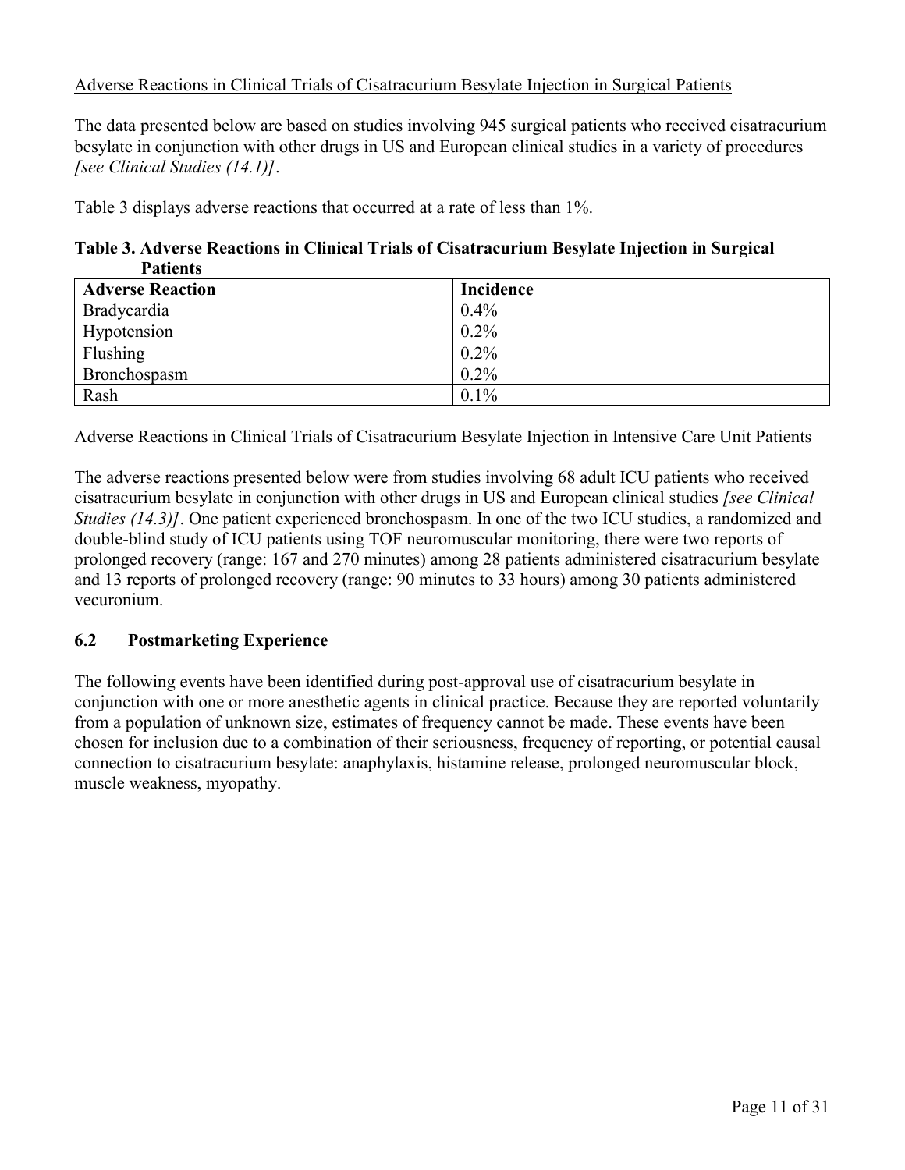## Adverse Reactions in Clinical Trials of Cisatracurium Besylate Injection in Surgical Patients

The data presented below are based on studies involving 945 surgical patients who received cisatracurium besylate in conjunction with other drugs in US and European clinical studies in a variety of procedures *[see Clinical Studies (14.1)]*.

Table 3 displays adverse reactions that occurred at a rate of less than 1%.

#### **Table 3. Adverse Reactions in Clinical Trials of Cisatracurium Besylate Injection in Surgical Patients**

| - - - - - - - - -       |           |
|-------------------------|-----------|
| <b>Adverse Reaction</b> | Incidence |
| Bradycardia             | 0.4%      |
| Hypotension             | $0.2\%$   |
| Flushing                | $0.2\%$   |
| Bronchospasm            | $0.2\%$   |
| Rash                    | $0.1\%$   |

#### Adverse Reactions in Clinical Trials of Cisatracurium Besylate Injection in Intensive Care Unit Patients

The adverse reactions presented below were from studies involving 68 adult ICU patients who received cisatracurium besylate in conjunction with other drugs in US and European clinical studies *[see Clinical Studies (14.3)]*. One patient experienced bronchospasm. In one of the two ICU studies, a randomized and double-blind study of ICU patients using TOF neuromuscular monitoring, there were two reports of prolonged recovery (range: 167 and 270 minutes) among 28 patients administered cisatracurium besylate and 13 reports of prolonged recovery (range: 90 minutes to 33 hours) among 30 patients administered vecuronium.

## **6.2 Postmarketing Experience**

The following events have been identified during post-approval use of cisatracurium besylate in conjunction with one or more anesthetic agents in clinical practice. Because they are reported voluntarily from a population of unknown size, estimates of frequency cannot be made. These events have been chosen for inclusion due to a combination of their seriousness, frequency of reporting, or potential causal connection to cisatracurium besylate: anaphylaxis, histamine release, prolonged neuromuscular block, muscle weakness, myopathy.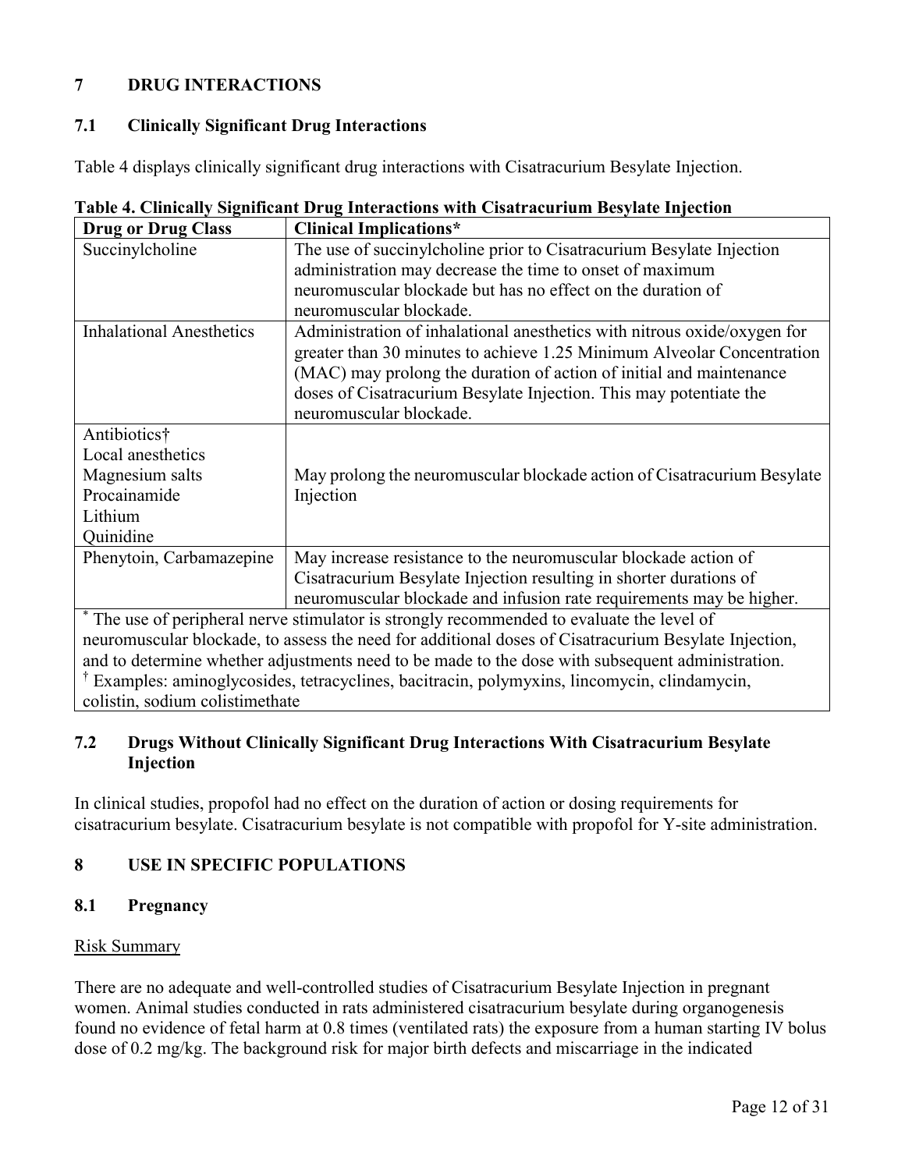# **7 DRUG INTERACTIONS**

#### **7.1 Clinically Significant Drug Interactions**

Table 4 displays clinically significant drug interactions with Cisatracurium Besylate Injection.

| <b>Drug or Drug Class</b>                                                                           | <b>Clinical Implications*</b>                                                             |  |  |
|-----------------------------------------------------------------------------------------------------|-------------------------------------------------------------------------------------------|--|--|
| Succinylcholine                                                                                     | The use of succinylcholine prior to Cisatracurium Besylate Injection                      |  |  |
|                                                                                                     | administration may decrease the time to onset of maximum                                  |  |  |
|                                                                                                     | neuromuscular blockade but has no effect on the duration of                               |  |  |
|                                                                                                     | neuromuscular blockade.                                                                   |  |  |
| <b>Inhalational Anesthetics</b>                                                                     | Administration of inhalational anesthetics with nitrous oxide/oxygen for                  |  |  |
|                                                                                                     | greater than 30 minutes to achieve 1.25 Minimum Alveolar Concentration                    |  |  |
|                                                                                                     | (MAC) may prolong the duration of action of initial and maintenance                       |  |  |
|                                                                                                     | doses of Cisatracurium Besylate Injection. This may potentiate the                        |  |  |
|                                                                                                     | neuromuscular blockade.                                                                   |  |  |
| Antibiotics†                                                                                        |                                                                                           |  |  |
| Local anesthetics                                                                                   |                                                                                           |  |  |
| Magnesium salts                                                                                     | May prolong the neuromuscular blockade action of Cisatracurium Besylate                   |  |  |
| Procainamide                                                                                        | Injection                                                                                 |  |  |
| Lithium                                                                                             |                                                                                           |  |  |
| Quinidine                                                                                           |                                                                                           |  |  |
| Phenytoin, Carbamazepine                                                                            | May increase resistance to the neuromuscular blockade action of                           |  |  |
|                                                                                                     | Cisatracurium Besylate Injection resulting in shorter durations of                        |  |  |
|                                                                                                     | neuromuscular blockade and infusion rate requirements may be higher.                      |  |  |
|                                                                                                     | * The use of peripheral nerve stimulator is strongly recommended to evaluate the level of |  |  |
| neuromuscular blockade, to assess the need for additional doses of Cisatracurium Resulate Injection |                                                                                           |  |  |

**Table 4. Clinically Significant Drug Interactions with Cisatracurium Besylate Injection**

ockade, to assess the need for additional doses of Cisatracurium Besylate Injection, and to determine whether adjustments need to be made to the dose with subsequent administration.

† Examples: aminoglycosides, tetracyclines, bacitracin, polymyxins, lincomycin, clindamycin, colistin, sodium colistimethate

# **7.2 Drugs Without Clinically Significant Drug Interactions With Cisatracurium Besylate Injection**

In clinical studies, propofol had no effect on the duration of action or dosing requirements for cisatracurium besylate. Cisatracurium besylate is not compatible with propofol for Y-site administration.

# **8 USE IN SPECIFIC POPULATIONS**

## **8.1 Pregnancy**

## Risk Summary

There are no adequate and well-controlled studies of Cisatracurium Besylate Injection in pregnant women. Animal studies conducted in rats administered cisatracurium besylate during organogenesis found no evidence of fetal harm at 0.8 times (ventilated rats) the exposure from a human starting IV bolus dose of 0.2 mg/kg. The background risk for major birth defects and miscarriage in the indicated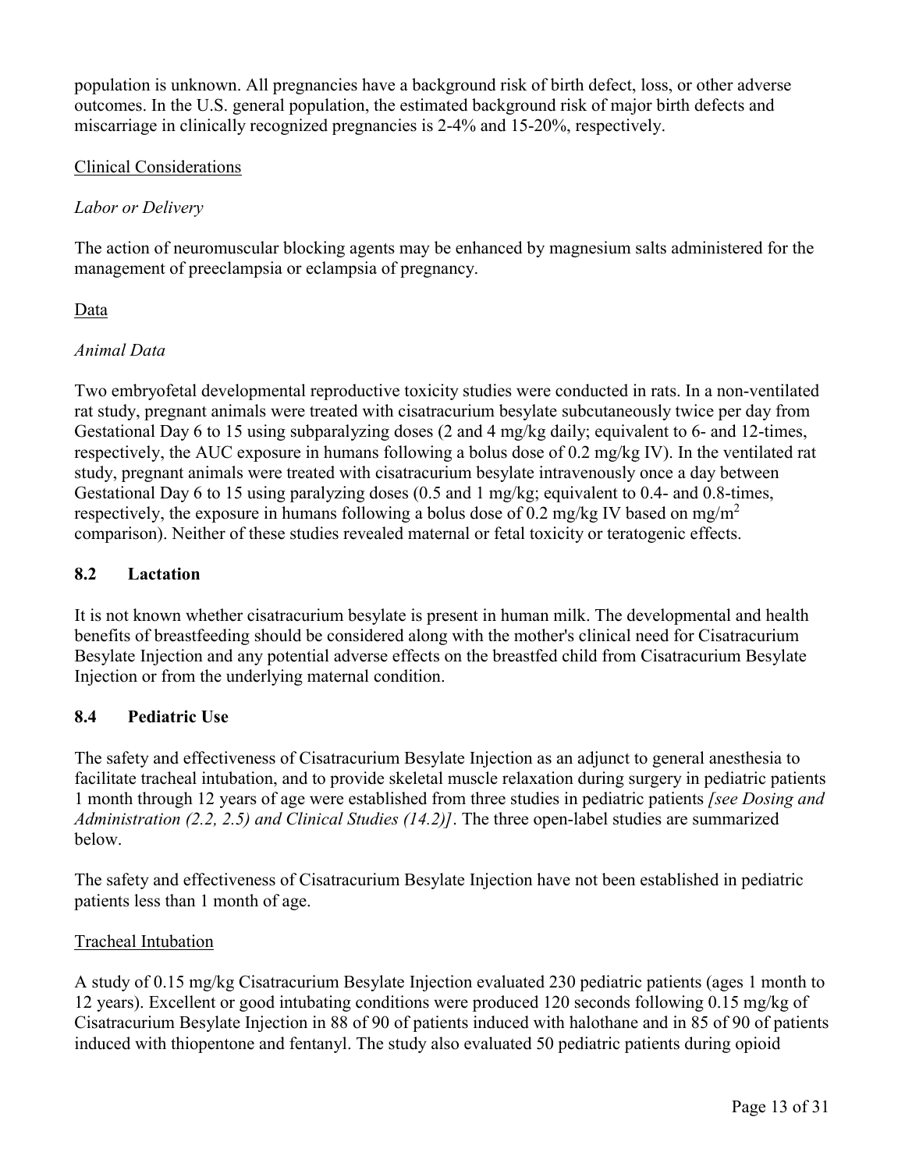population is unknown. All pregnancies have a background risk of birth defect, loss, or other adverse outcomes. In the U.S. general population, the estimated background risk of major birth defects and miscarriage in clinically recognized pregnancies is 2-4% and 15-20%, respectively.

# Clinical Considerations

# *Labor or Delivery*

The action of neuromuscular blocking agents may be enhanced by magnesium salts administered for the management of preeclampsia or eclampsia of pregnancy.

# Data

# *Animal Data*

Two embryofetal developmental reproductive toxicity studies were conducted in rats. In a non-ventilated rat study, pregnant animals were treated with cisatracurium besylate subcutaneously twice per day from Gestational Day 6 to 15 using subparalyzing doses (2 and 4 mg/kg daily; equivalent to 6- and 12-times, respectively, the AUC exposure in humans following a bolus dose of 0.2 mg/kg IV). In the ventilated rat study, pregnant animals were treated with cisatracurium besylate intravenously once a day between Gestational Day 6 to 15 using paralyzing doses (0.5 and 1 mg/kg; equivalent to 0.4- and 0.8-times, respectively, the exposure in humans following a bolus dose of 0.2 mg/kg IV based on mg/m<sup>2</sup> comparison). Neither of these studies revealed maternal or fetal toxicity or teratogenic effects.

# **8.2 Lactation**

It is not known whether cisatracurium besylate is present in human milk. The developmental and health benefits of breastfeeding should be considered along with the mother's clinical need for Cisatracurium Besylate Injection and any potential adverse effects on the breastfed child from Cisatracurium Besylate Injection or from the underlying maternal condition.

## **8.4 Pediatric Use**

The safety and effectiveness of Cisatracurium Besylate Injection as an adjunct to general anesthesia to facilitate tracheal intubation, and to provide skeletal muscle relaxation during surgery in pediatric patients 1 month through 12 years of age were established from three studies in pediatric patients *[see Dosing and Administration (2.2, 2.5) and Clinical Studies (14.2)]*. The three open-label studies are summarized below.

The safety and effectiveness of Cisatracurium Besylate Injection have not been established in pediatric patients less than 1 month of age.

## Tracheal Intubation

A study of 0.15 mg/kg Cisatracurium Besylate Injection evaluated 230 pediatric patients (ages 1 month to 12 years). Excellent or good intubating conditions were produced 120 seconds following 0.15 mg/kg of Cisatracurium Besylate Injection in 88 of 90 of patients induced with halothane and in 85 of 90 of patients induced with thiopentone and fentanyl. The study also evaluated 50 pediatric patients during opioid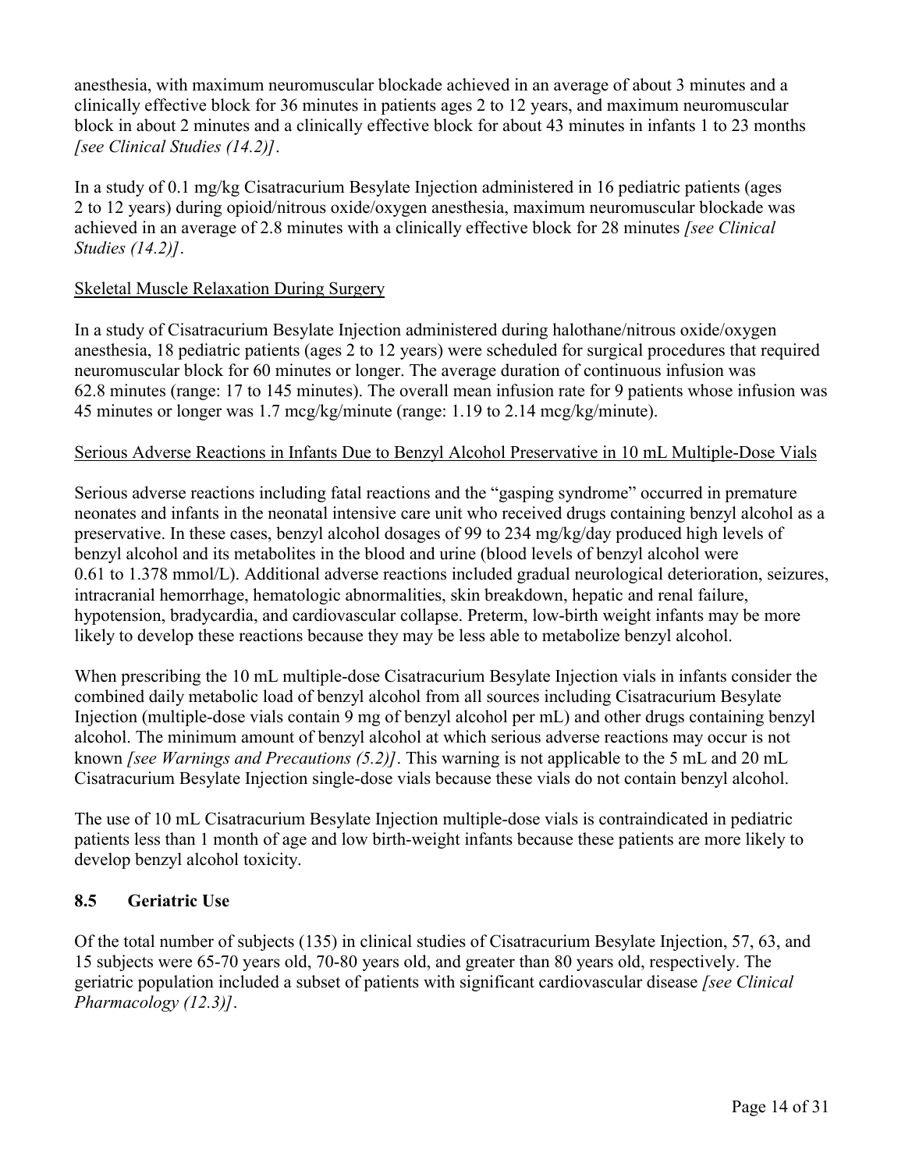anesthesia, with maximum neuromuscular blockade achieved in an average of about 3 minutes and a clinically effective block for 36 minutes in patients ages 2 to 12 years, and maximum neuromuscular block in about 2 minutes and a clinically effective block for about 43 minutes in infants 1 to 23 months *[see Clinical Studies (14.2)]*.

In a study of 0.1 mg/kg Cisatracurium Besylate Injection administered in 16 pediatric patients (ages 2 to 12 years) during opioid/nitrous oxide/oxygen anesthesia, maximum neuromuscular blockade was achieved in an average of 2.8 minutes with a clinically effective block for 28 minutes *[see Clinical Studies (14.2)]*.

#### Skeletal Muscle Relaxation During Surgery

In a study of Cisatracurium Besylate Injection administered during halothane/nitrous oxide/oxygen anesthesia, 18 pediatric patients (ages 2 to 12 years) were scheduled for surgical procedures that required neuromuscular block for 60 minutes or longer. The average duration of continuous infusion was 62.8 minutes (range: 17 to 145 minutes). The overall mean infusion rate for 9 patients whose infusion was 45 minutes or longer was 1.7 mcg/kg/minute (range: 1.19 to 2.14 mcg/kg/minute).

#### Serious Adverse Reactions in Infants Due to Benzyl Alcohol Preservative in 10 mL Multiple-Dose Vials

Serious adverse reactions including fatal reactions and the "gasping syndrome" occurred in premature neonates and infants in the neonatal intensive care unit who received drugs containing benzyl alcohol as a preservative. In these cases, benzyl alcohol dosages of 99 to 234 mg/kg/day produced high levels of benzyl alcohol and its metabolites in the blood and urine (blood levels of benzyl alcohol were 0.61 to 1.378 mmol/L). Additional adverse reactions included gradual neurological deterioration, seizures, intracranial hemorrhage, hematologic abnormalities, skin breakdown, hepatic and renal failure, hypotension, bradycardia, and cardiovascular collapse. Preterm, low-birth weight infants may be more likely to develop these reactions because they may be less able to metabolize benzyl alcohol.

When prescribing the 10 mL multiple-dose Cisatracurium Besylate Injection vials in infants consider the combined daily metabolic load of benzyl alcohol from all sources including Cisatracurium Besylate Injection (multiple-dose vials contain 9 mg of benzyl alcohol per mL) and other drugs containing benzyl alcohol. The minimum amount of benzyl alcohol at which serious adverse reactions may occur is not known *[see Warnings and Precautions (5.2)]*. This warning is not applicable to the 5 mL and 20 mL Cisatracurium Besylate Injection single-dose vials because these vials do not contain benzyl alcohol.

The use of 10 mL Cisatracurium Besylate Injection multiple-dose vials is contraindicated in pediatric patients less than 1 month of age and low birth-weight infants because these patients are more likely to develop benzyl alcohol toxicity.

#### **8.5 Geriatric Use**

Of the total number of subjects (135) in clinical studies of Cisatracurium Besylate Injection, 57, 63, and 15 subjects were 65-70 years old, 70-80 years old, and greater than 80 years old, respectively. The geriatric population included a subset of patients with significant cardiovascular disease *[see Clinical Pharmacology (12.3)]*.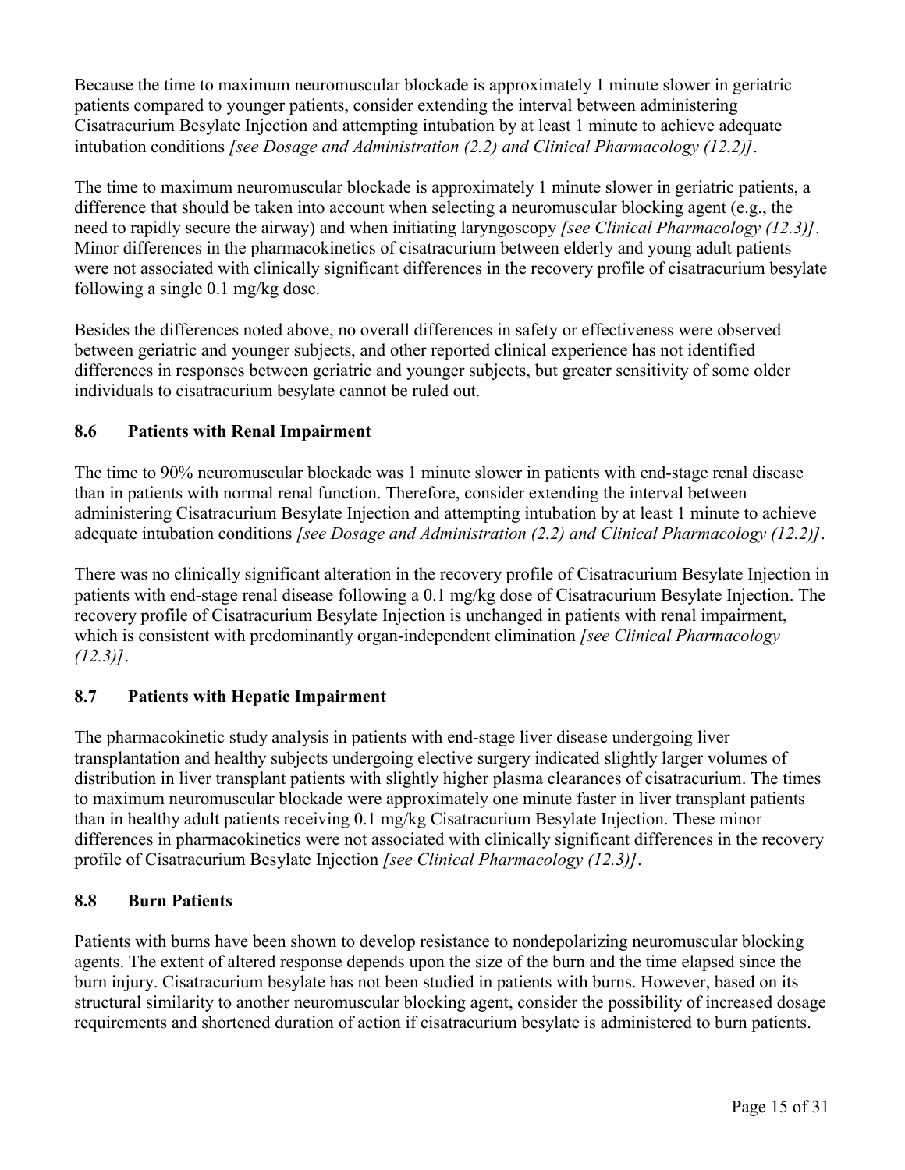Because the time to maximum neuromuscular blockade is approximately 1 minute slower in geriatric patients compared to younger patients, consider extending the interval between administering Cisatracurium Besylate Injection and attempting intubation by at least 1 minute to achieve adequate intubation conditions *[see Dosage and Administration (2.2) and Clinical Pharmacology (12.2)]*.

The time to maximum neuromuscular blockade is approximately 1 minute slower in geriatric patients, a difference that should be taken into account when selecting a neuromuscular blocking agent (e.g., the need to rapidly secure the airway) and when initiating laryngoscopy *[see Clinical Pharmacology (12.3)]*. Minor differences in the pharmacokinetics of cisatracurium between elderly and young adult patients were not associated with clinically significant differences in the recovery profile of cisatracurium besylate following a single 0.1 mg/kg dose.

Besides the differences noted above, no overall differences in safety or effectiveness were observed between geriatric and younger subjects, and other reported clinical experience has not identified differences in responses between geriatric and younger subjects, but greater sensitivity of some older individuals to cisatracurium besylate cannot be ruled out.

# **8.6 Patients with Renal Impairment**

The time to 90% neuromuscular blockade was 1 minute slower in patients with end-stage renal disease than in patients with normal renal function. Therefore, consider extending the interval between administering Cisatracurium Besylate Injection and attempting intubation by at least 1 minute to achieve adequate intubation conditions *[see Dosage and Administration (2.2) and Clinical Pharmacology (12.2)]*.

There was no clinically significant alteration in the recovery profile of Cisatracurium Besylate Injection in patients with end-stage renal disease following a 0.1 mg/kg dose of Cisatracurium Besylate Injection. The recovery profile of Cisatracurium Besylate Injection is unchanged in patients with renal impairment, which is consistent with predominantly organ-independent elimination *[see Clinical Pharmacology (12.3)]*.

## **8.7 Patients with Hepatic Impairment**

The pharmacokinetic study analysis in patients with end-stage liver disease undergoing liver transplantation and healthy subjects undergoing elective surgery indicated slightly larger volumes of distribution in liver transplant patients with slightly higher plasma clearances of cisatracurium. The times to maximum neuromuscular blockade were approximately one minute faster in liver transplant patients than in healthy adult patients receiving 0.1 mg/kg Cisatracurium Besylate Injection. These minor differences in pharmacokinetics were not associated with clinically significant differences in the recovery profile of Cisatracurium Besylate Injection *[see Clinical Pharmacology (12.3)]*.

## **8.8 Burn Patients**

Patients with burns have been shown to develop resistance to nondepolarizing neuromuscular blocking agents. The extent of altered response depends upon the size of the burn and the time elapsed since the burn injury. Cisatracurium besylate has not been studied in patients with burns. However, based on its structural similarity to another neuromuscular blocking agent, consider the possibility of increased dosage requirements and shortened duration of action if cisatracurium besylate is administered to burn patients.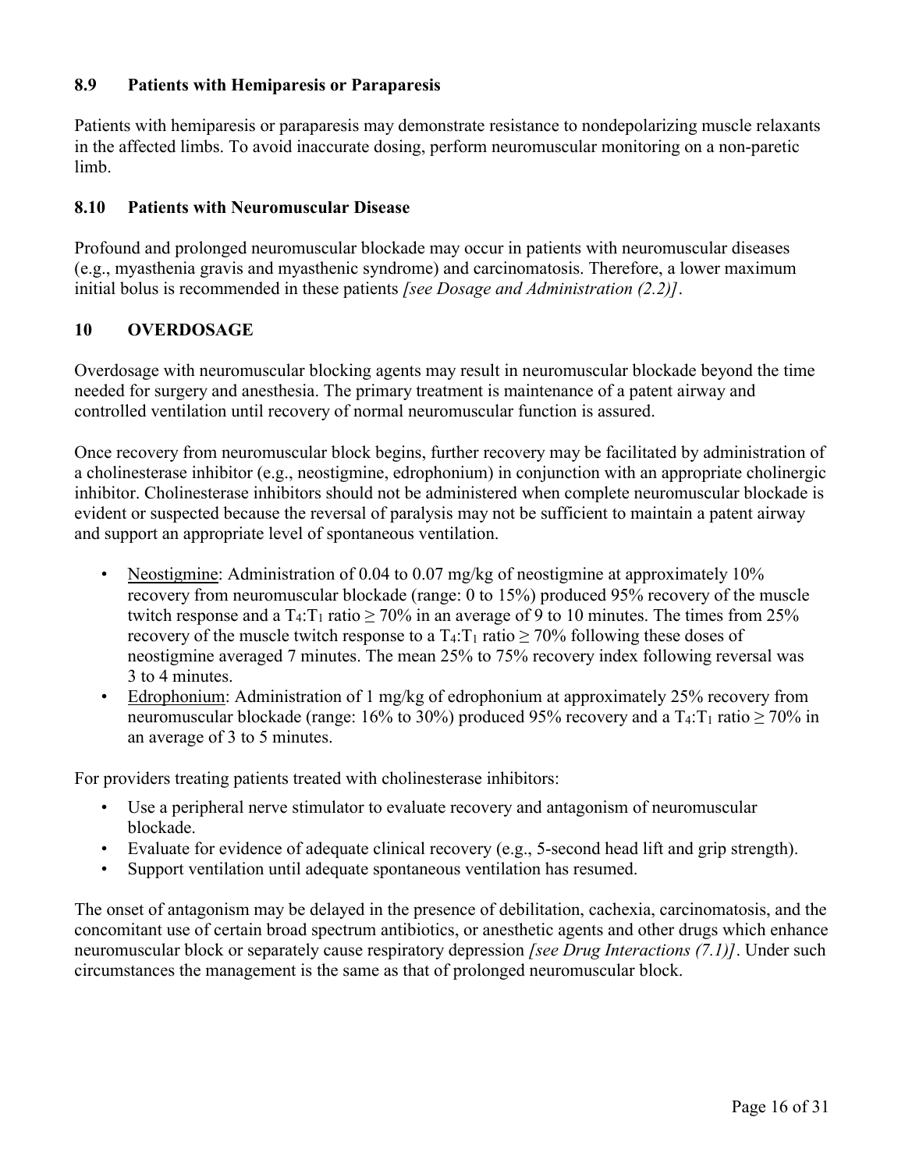# **8.9 Patients with Hemiparesis or Paraparesis**

Patients with hemiparesis or paraparesis may demonstrate resistance to nondepolarizing muscle relaxants in the affected limbs. To avoid inaccurate dosing, perform neuromuscular monitoring on a non-paretic limb.

## **8.10 Patients with Neuromuscular Disease**

Profound and prolonged neuromuscular blockade may occur in patients with neuromuscular diseases (e.g., myasthenia gravis and myasthenic syndrome) and carcinomatosis. Therefore, a lower maximum initial bolus is recommended in these patients *[see Dosage and Administration (2.2)]*.

## **10 OVERDOSAGE**

Overdosage with neuromuscular blocking agents may result in neuromuscular blockade beyond the time needed for surgery and anesthesia. The primary treatment is maintenance of a patent airway and controlled ventilation until recovery of normal neuromuscular function is assured.

Once recovery from neuromuscular block begins, further recovery may be facilitated by administration of a cholinesterase inhibitor (e.g., neostigmine, edrophonium) in conjunction with an appropriate cholinergic inhibitor. Cholinesterase inhibitors should not be administered when complete neuromuscular blockade is evident or suspected because the reversal of paralysis may not be sufficient to maintain a patent airway and support an appropriate level of spontaneous ventilation.

- Neostigmine: Administration of 0.04 to 0.07 mg/kg of neostigmine at approximately 10% recovery from neuromuscular blockade (range: 0 to 15%) produced 95% recovery of the muscle twitch response and a  $T_4$ :  $T_1$  ratio  $\geq 70\%$  in an average of 9 to 10 minutes. The times from 25% recovery of the muscle twitch response to a  $T_4$ :  $T_1$  ratio  $\geq 70\%$  following these doses of neostigmine averaged 7 minutes. The mean 25% to 75% recovery index following reversal was 3 to 4 minutes.
- Edrophonium: Administration of 1 mg/kg of edrophonium at approximately 25% recovery from neuromuscular blockade (range: 16% to 30%) produced 95% recovery and a  $T_4$ :  $T_1$  ratio  $\geq 70\%$  in an average of 3 to 5 minutes.

For providers treating patients treated with cholinesterase inhibitors:

- Use a peripheral nerve stimulator to evaluate recovery and antagonism of neuromuscular blockade.
- Evaluate for evidence of adequate clinical recovery (e.g., 5-second head lift and grip strength).
- Support ventilation until adequate spontaneous ventilation has resumed.

The onset of antagonism may be delayed in the presence of debilitation, cachexia, carcinomatosis, and the concomitant use of certain broad spectrum antibiotics, or anesthetic agents and other drugs which enhance neuromuscular block or separately cause respiratory depression *[see Drug Interactions (7.1)]*. Under such circumstances the management is the same as that of prolonged neuromuscular block.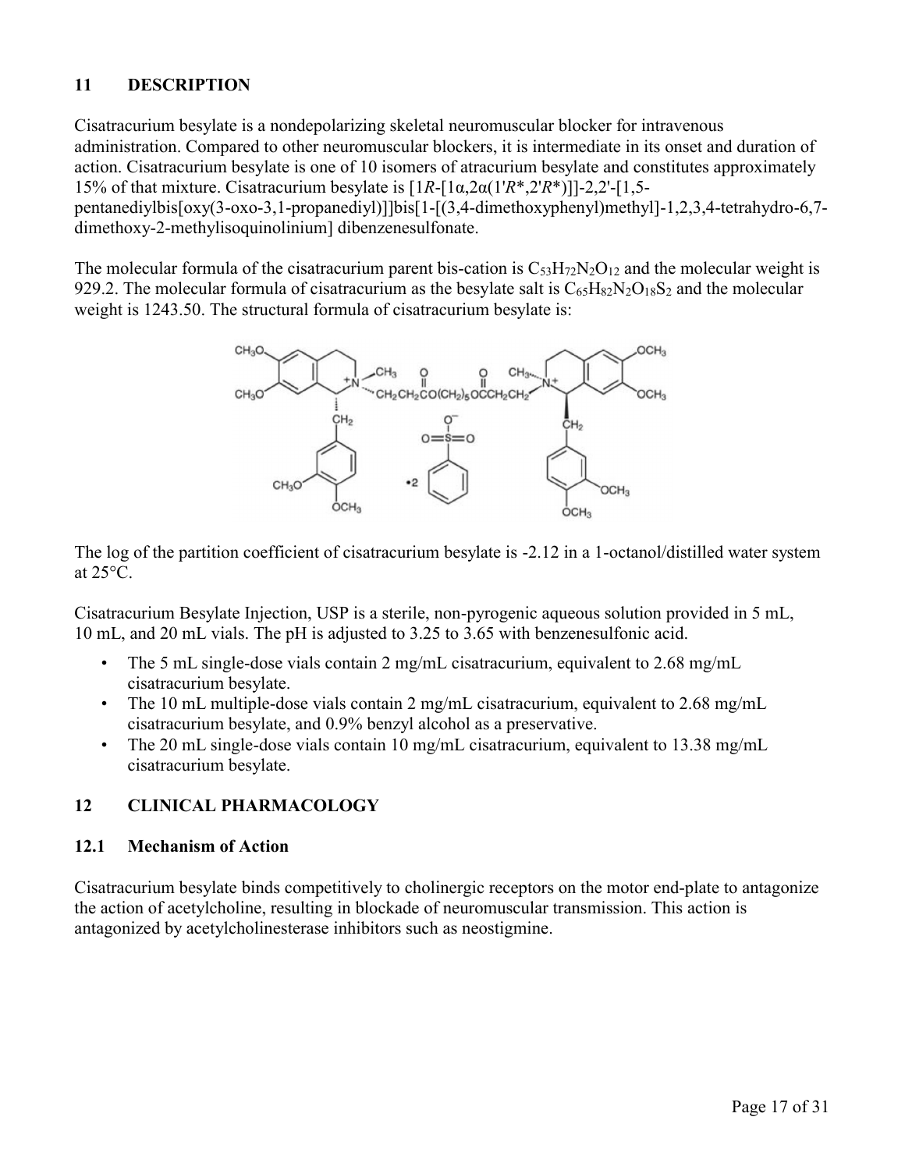# **11 DESCRIPTION**

Cisatracurium besylate is a nondepolarizing skeletal neuromuscular blocker for intravenous administration. Compared to other neuromuscular blockers, it is intermediate in its onset and duration of action. Cisatracurium besylate is one of 10 isomers of atracurium besylate and constitutes approximately 15% of that mixture. Cisatracurium besylate is [1*R*-[1α,2α(1'*R*\*,2'*R*\*)]]-2,2'-[1,5-

pentanediylbis[oxy(3-oxo-3,1-propanediyl)]]bis[1-[(3,4-dimethoxyphenyl)methyl]-1,2,3,4-tetrahydro-6,7 dimethoxy-2-methylisoquinolinium] dibenzenesulfonate.

The molecular formula of the cisatracurium parent bis-cation is  $C_{53}H_{72}N_2O_{12}$  and the molecular weight is 929.2. The molecular formula of cisatracurium as the besylate salt is  $C_{65}H_{82}N_2O_{18}S_2$  and the molecular weight is 1243.50. The structural formula of cisatracurium besylate is:



The log of the partition coefficient of cisatracurium besylate is -2.12 in a 1-octanol/distilled water system at  $25^{\circ}$ C.

Cisatracurium Besylate Injection, USP is a sterile, non-pyrogenic aqueous solution provided in 5 mL, 10 mL, and 20 mL vials. The pH is adjusted to 3.25 to 3.65 with benzenesulfonic acid.

- The 5 mL single-dose vials contain 2 mg/mL cisatracurium, equivalent to 2.68 mg/mL cisatracurium besylate.
- The 10 mL multiple-dose vials contain 2 mg/mL cisatracurium, equivalent to 2.68 mg/mL cisatracurium besylate, and 0.9% benzyl alcohol as a preservative.
- The 20 mL single-dose vials contain 10 mg/mL cisatracurium, equivalent to 13.38 mg/mL cisatracurium besylate.

## **12 CLINICAL PHARMACOLOGY**

#### **12.1 Mechanism of Action**

Cisatracurium besylate binds competitively to cholinergic receptors on the motor end-plate to antagonize the action of acetylcholine, resulting in blockade of neuromuscular transmission. This action is antagonized by acetylcholinesterase inhibitors such as neostigmine.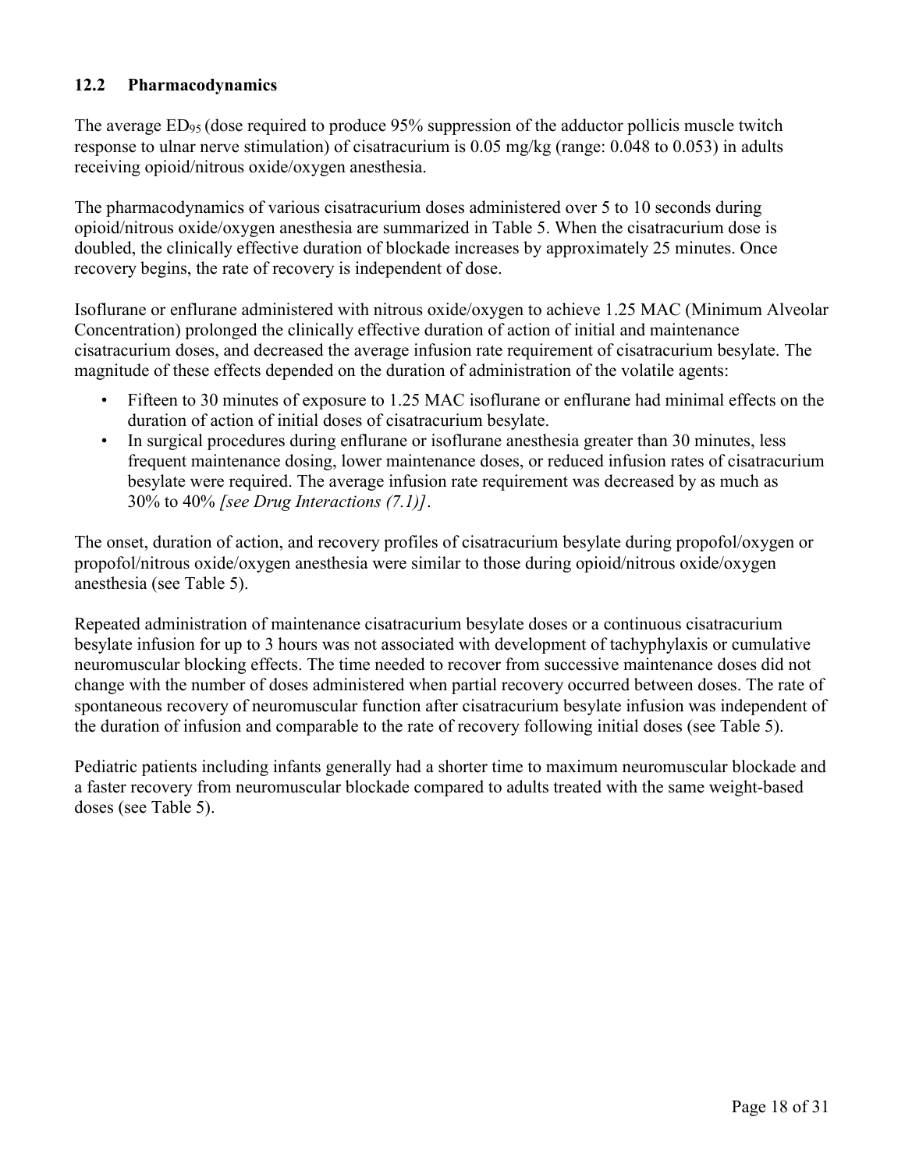# **12.2 Pharmacodynamics**

The average  $ED_{95}$  (dose required to produce  $95\%$  suppression of the adductor pollicis muscle twitch response to ulnar nerve stimulation) of cisatracurium is 0.05 mg/kg (range: 0.048 to 0.053) in adults receiving opioid/nitrous oxide/oxygen anesthesia.

The pharmacodynamics of various cisatracurium doses administered over 5 to 10 seconds during opioid/nitrous oxide/oxygen anesthesia are summarized in Table 5. When the cisatracurium dose is doubled, the clinically effective duration of blockade increases by approximately 25 minutes. Once recovery begins, the rate of recovery is independent of dose.

Isoflurane or enflurane administered with nitrous oxide/oxygen to achieve 1.25 MAC (Minimum Alveolar Concentration) prolonged the clinically effective duration of action of initial and maintenance cisatracurium doses, and decreased the average infusion rate requirement of cisatracurium besylate. The magnitude of these effects depended on the duration of administration of the volatile agents:

- Fifteen to 30 minutes of exposure to 1.25 MAC isoflurane or enflurane had minimal effects on the duration of action of initial doses of cisatracurium besylate.
- In surgical procedures during enflurane or isoflurane anesthesia greater than 30 minutes, less frequent maintenance dosing, lower maintenance doses, or reduced infusion rates of cisatracurium besylate were required. The average infusion rate requirement was decreased by as much as 30% to 40% *[see Drug Interactions (7.1)]*.

The onset, duration of action, and recovery profiles of cisatracurium besylate during propofol/oxygen or propofol/nitrous oxide/oxygen anesthesia were similar to those during opioid/nitrous oxide/oxygen anesthesia (see Table 5).

Repeated administration of maintenance cisatracurium besylate doses or a continuous cisatracurium besylate infusion for up to 3 hours was not associated with development of tachyphylaxis or cumulative neuromuscular blocking effects. The time needed to recover from successive maintenance doses did not change with the number of doses administered when partial recovery occurred between doses. The rate of spontaneous recovery of neuromuscular function after cisatracurium besylate infusion was independent of the duration of infusion and comparable to the rate of recovery following initial doses (see Table 5).

Pediatric patients including infants generally had a shorter time to maximum neuromuscular blockade and a faster recovery from neuromuscular blockade compared to adults treated with the same weight-based doses (see Table 5).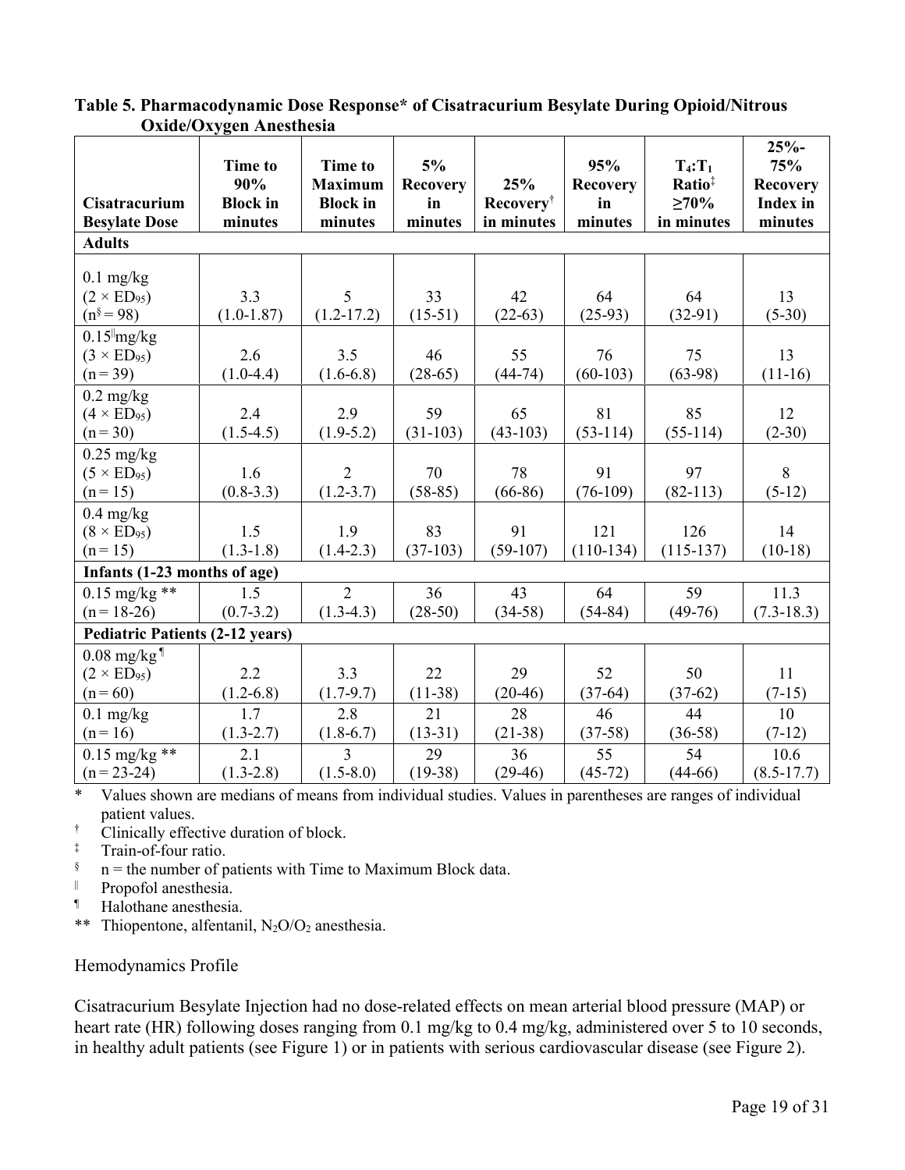| Cisatracurium<br><b>Besylate Dose</b>                                      | <b>Time to</b><br>90%<br><b>Block</b> in<br>minutes | <b>Time to</b><br><b>Maximum</b><br><b>Block</b> in<br>minutes | 5%<br><b>Recovery</b><br>in<br>minutes | 25%<br><b>Recovery</b> <sup>†</sup><br>in minutes | 95%<br><b>Recovery</b><br>in<br>minutes | $T_4:T_1$<br>Ratio <sup>‡</sup><br>$\geq 70\%$<br>in minutes | $25% -$<br>75%<br><b>Recovery</b><br><b>Index</b> in<br>minutes |
|----------------------------------------------------------------------------|-----------------------------------------------------|----------------------------------------------------------------|----------------------------------------|---------------------------------------------------|-----------------------------------------|--------------------------------------------------------------|-----------------------------------------------------------------|
| <b>Adults</b>                                                              |                                                     |                                                                |                                        |                                                   |                                         |                                                              |                                                                 |
| $0.1$ mg/kg<br>$(2 \times ED_{95})$<br>$(n^{\S} = 98)$                     | 3.3<br>$(1.0-1.87)$                                 | 5<br>$(1.2-17.2)$                                              | 33<br>$(15-51)$                        | 42<br>$(22-63)$                                   | 64<br>$(25-93)$                         | 64<br>$(32-91)$                                              | 13<br>$(5-30)$                                                  |
| $0.15$ <sup><math>\log</math></sup> kg<br>$(3 \times ED_{95})$<br>$(n=39)$ | 2.6<br>$(1.0-4.4)$                                  | 3.5<br>$(1.6-6.8)$                                             | 46<br>$(28-65)$                        | 55<br>$(44-74)$                                   | 76<br>$(60-103)$                        | 75<br>$(63-98)$                                              | 13<br>$(11-16)$                                                 |
| $0.2$ mg/kg<br>$(4 \times ED_{95})$<br>$(n=30)$                            | 2.4<br>$(1.5-4.5)$                                  | 2.9<br>$(1.9-5.2)$                                             | 59<br>$(31-103)$                       | 65<br>$(43-103)$                                  | 81<br>$(53-114)$                        | 85<br>$(55-114)$                                             | 12<br>$(2-30)$                                                  |
| $0.25$ mg/kg<br>$(5 \times ED_{95})$<br>$(n=15)$                           | 1.6<br>$(0.8-3.3)$                                  | $\overline{2}$<br>$(1.2 - 3.7)$                                | 70<br>$(58-85)$                        | 78<br>$(66-86)$                                   | 91<br>$(76-109)$                        | 97<br>$(82-113)$                                             | 8<br>$(5-12)$                                                   |
| $0.4$ mg/kg<br>$(8 \times ED_{95})$<br>$(n = 15)$                          | 1.5<br>$(1.3-1.8)$                                  | 1.9<br>$(1.4-2.3)$                                             | 83<br>$(37-103)$                       | 91<br>$(59-107)$                                  | 121<br>$(110-134)$                      | 126<br>$(115-137)$                                           | 14<br>$(10-18)$                                                 |
| Infants (1-23 months of age)                                               |                                                     |                                                                |                                        |                                                   |                                         |                                                              |                                                                 |
| $0.15$ mg/kg **<br>$(n=18-26)$                                             | 1.5<br>$(0.7 - 3.2)$                                | $\overline{2}$<br>$(1.3-4.3)$                                  | 36<br>$(28-50)$                        | 43<br>$(34-58)$                                   | 64<br>$(54-84)$                         | 59<br>$(49-76)$                                              | 11.3<br>$(7.3-18.3)$                                            |
| <b>Pediatric Patients (2-12 years)</b>                                     |                                                     |                                                                |                                        |                                                   |                                         |                                                              |                                                                 |
| $0.08$ mg/kg <sup>1</sup><br>$(2 \times ED_{95})$<br>$(n = 60)$            | 2.2<br>$(1.2-6.8)$                                  | 3.3<br>$(1.7-9.7)$                                             | 22<br>$(11-38)$                        | 29<br>$(20-46)$                                   | 52<br>$(37-64)$                         | 50<br>$(37-62)$                                              | 11<br>$(7-15)$                                                  |
| $0.1$ mg/kg<br>$(n=16)$                                                    | 1.7<br>$(1.3-2.7)$                                  | 2.8<br>$(1.8-6.7)$                                             | 21<br>$(13-31)$                        | 28<br>$(21-38)$                                   | 46<br>$(37-58)$                         | 44<br>$(36-58)$                                              | 10<br>$(7-12)$                                                  |
| $0.15$ mg/kg **<br>$(n = 23-24)$                                           | 2.1<br>$(1.3 - 2.8)$                                | 3<br>$(1.5 - 8.0)$                                             | 29<br>$(19-38)$                        | 36<br>$(29-46)$                                   | 55<br>$(45-72)$                         | 54<br>$(44-66)$                                              | 10.6<br>$(8.5 - 17.7)$                                          |

**Table 5. Pharmacodynamic Dose Response\* of Cisatracurium Besylate During Opioid/Nitrous Oxide/Oxygen Anesthesia**

\* Values shown are medians of means from individual studies. Values in parentheses are ranges of individual patient values.

†  $\frac{1}{\pi}$  Clinically effective duration of block.

 $\frac{1}{8}$  Train-of-four ratio.

 $\frac{\$}{\$}$  n = the number of patients with Time to Maximum Block data.

| Propofol anesthesia.<br>| Halothane anesthesia

Halothane anesthesia.

\*\* Thiopentone, alfentanil,  $N_2O/O_2$  anesthesia.

#### Hemodynamics Profile

Cisatracurium Besylate Injection had no dose-related effects on mean arterial blood pressure (MAP) or heart rate (HR) following doses ranging from 0.1 mg/kg to 0.4 mg/kg, administered over 5 to 10 seconds, in healthy adult patients (see Figure 1) or in patients with serious cardiovascular disease (see Figure 2).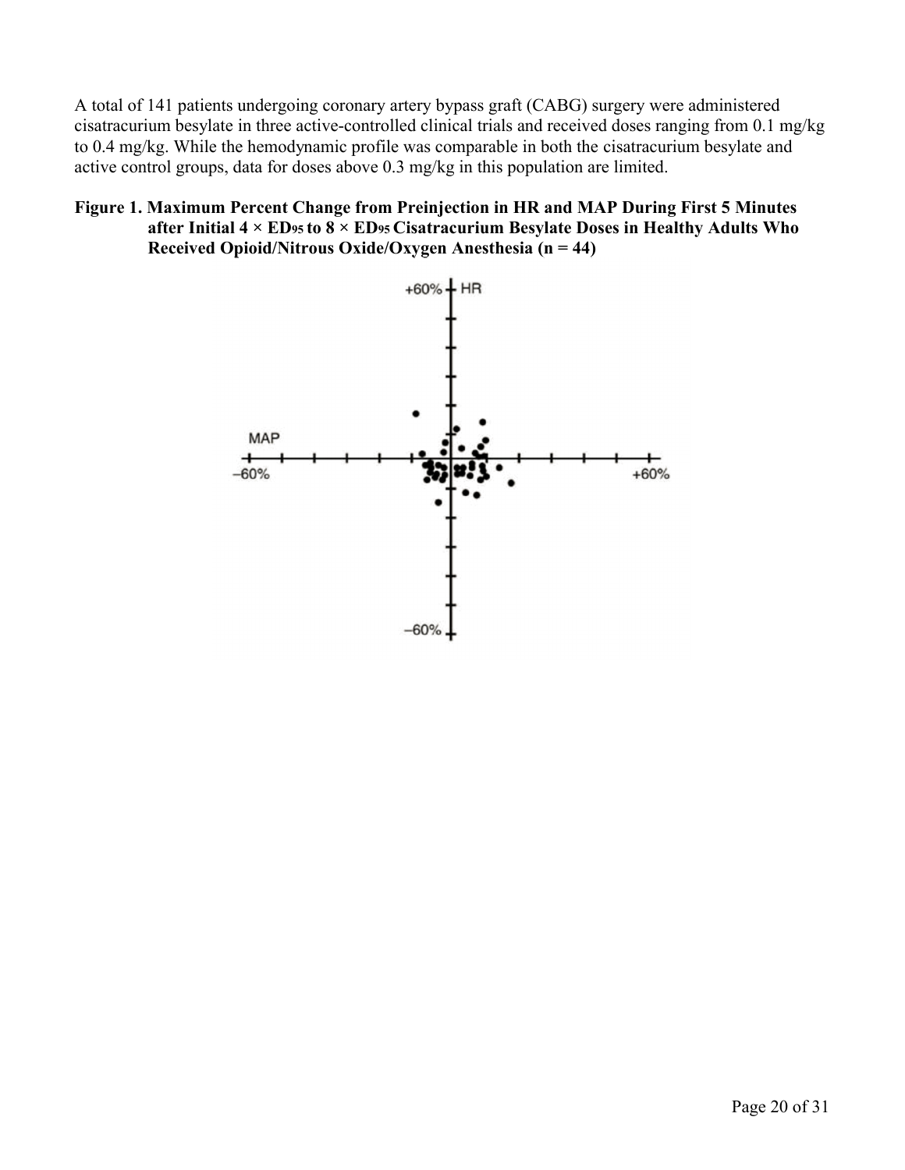A total of 141 patients undergoing coronary artery bypass graft (CABG) surgery were administered cisatracurium besylate in three active-controlled clinical trials and received doses ranging from 0.1 mg/kg to 0.4 mg/kg. While the hemodynamic profile was comparable in both the cisatracurium besylate and active control groups, data for doses above 0.3 mg/kg in this population are limited.

## **Figure 1. Maximum Percent Change from Preinjection in HR and MAP During First 5 Minutes after Initial 4 × ED95 to 8 × ED95 Cisatracurium Besylate Doses in Healthy Adults Who Received Opioid/Nitrous Oxide/Oxygen Anesthesia (n = 44)**

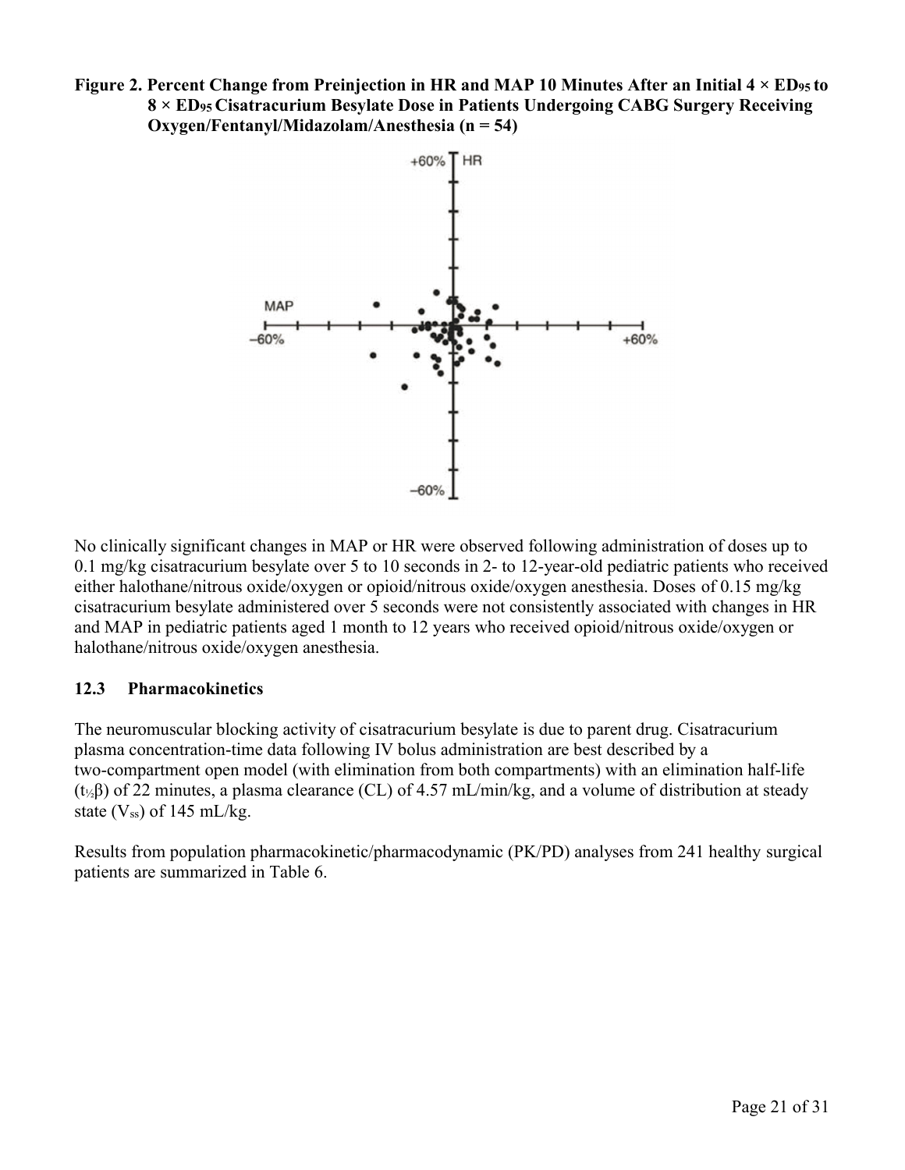**Figure 2. Percent Change from Preinjection in HR and MAP 10 Minutes After an Initial 4 × ED<sup>95</sup> to 8 × ED<sup>95</sup> Cisatracurium Besylate Dose in Patients Undergoing CABG Surgery Receiving Oxygen/Fentanyl/Midazolam/Anesthesia (n = 54)**



No clinically significant changes in MAP or HR were observed following administration of doses up to 0.1 mg/kg cisatracurium besylate over 5 to 10 seconds in 2- to 12-year-old pediatric patients who received either halothane/nitrous oxide/oxygen or opioid/nitrous oxide/oxygen anesthesia. Doses of 0.15 mg/kg cisatracurium besylate administered over 5 seconds were not consistently associated with changes in HR and MAP in pediatric patients aged 1 month to 12 years who received opioid/nitrous oxide/oxygen or halothane/nitrous oxide/oxygen anesthesia.

#### **12.3 Pharmacokinetics**

The neuromuscular blocking activity of cisatracurium besylate is due to parent drug. Cisatracurium plasma concentration-time data following IV bolus administration are best described by a two-compartment open model (with elimination from both compartments) with an elimination half-life (t½β) of 22 minutes, a plasma clearance (CL) of 4.57 mL/min/kg, and a volume of distribution at steady state  $(V_{ss})$  of 145 mL/kg.

Results from population pharmacokinetic/pharmacodynamic (PK/PD) analyses from 241 healthy surgical patients are summarized in Table 6.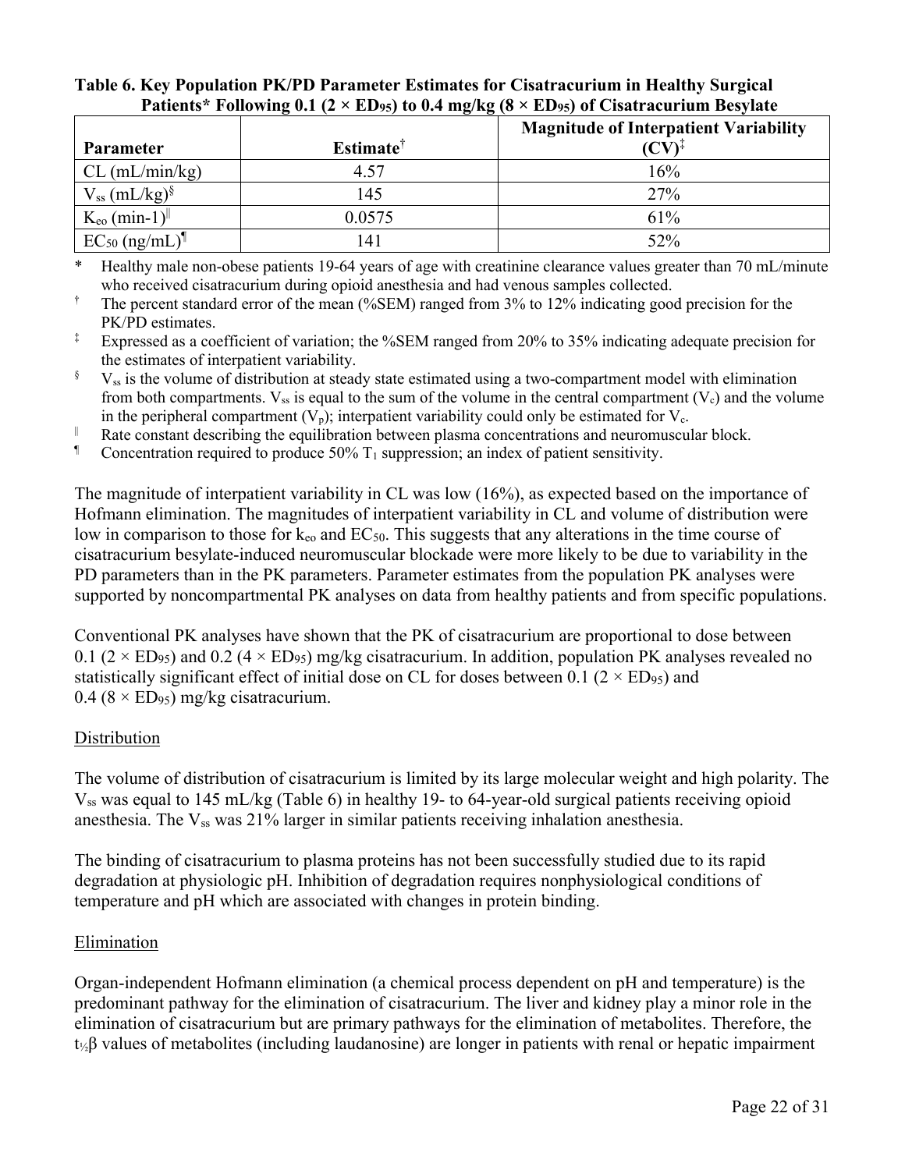| $\frac{1}{2}$ and $\frac{1}{2}$ and $\frac{1}{2}$ and $\frac{1}{2}$ and $\frac{1}{2}$ and $\frac{1}{2}$ and $\frac{1}{2}$ and $\frac{1}{2}$ and $\frac{1}{2}$ and $\frac{1}{2}$ and $\frac{1}{2}$ and $\frac{1}{2}$ and $\frac{1}{2}$ and $\frac{1}{2}$ and $\frac{1}{2}$ and $\frac{1}{2}$ a<br>$\mathbf{L}$ |                       |                                              |  |  |  |
|---------------------------------------------------------------------------------------------------------------------------------------------------------------------------------------------------------------------------------------------------------------------------------------------------------------|-----------------------|----------------------------------------------|--|--|--|
| <b>Parameter</b>                                                                                                                                                                                                                                                                                              | Estimate <sup>†</sup> | <b>Magnitude of Interpatient Variability</b> |  |  |  |
|                                                                                                                                                                                                                                                                                                               |                       |                                              |  |  |  |
| $CL$ (mL/min/kg)                                                                                                                                                                                                                                                                                              | 4.57                  | 16%                                          |  |  |  |
| $V_{ss}$ (mL/kg) <sup>§</sup>                                                                                                                                                                                                                                                                                 | 145                   | 27%                                          |  |  |  |
| $K_{\rm eo}$ (min-1) <sup>  </sup>                                                                                                                                                                                                                                                                            | 0.0575                | 61%                                          |  |  |  |
| $EC_{50}$ (ng/mL) <sup>¶</sup>                                                                                                                                                                                                                                                                                | 141                   | 52%                                          |  |  |  |

#### **Table 6. Key Population PK/PD Parameter Estimates for Cisatracurium in Healthy Surgical Patients\* Following 0.1 (2 × ED95) to 0.4 mg/kg (8 × ED95) of Cisatracurium Besylate**

\* Healthy male non-obese patients 19-64 years of age with creatinine clearance values greater than 70 mL/minute who received cisatracurium during opioid anesthesia and had venous samples collected.

† The percent standard error of the mean (%SEM) ranged from 3% to 12% indicating good precision for the PK/PD estimates.

<sup>‡</sup> Expressed as a coefficient of variation; the %SEM ranged from 20% to 35% indicating adequate precision for the estimates of interpatient variability.

 $\delta$  V<sub>ss</sub> is the volume of distribution at steady state estimated using a two-compartment model with elimination from both compartments.  $V_{ss}$  is equal to the sum of the volume in the central compartment ( $V_c$ ) and the volume in the peripheral compartment  $(V_p)$ ; interpatient variability could only be estimated for  $V_c$ .

|| Rate constant describing the equilibration between plasma concentrations and neuromuscular block.

**T** Concentration required to produce 50%  $T_1$  suppression; an index of patient sensitivity.

The magnitude of interpatient variability in CL was low (16%), as expected based on the importance of Hofmann elimination. The magnitudes of interpatient variability in CL and volume of distribution were low in comparison to those for k<sub>eo</sub> and EC<sub>50</sub>. This suggests that any alterations in the time course of cisatracurium besylate-induced neuromuscular blockade were more likely to be due to variability in the PD parameters than in the PK parameters. Parameter estimates from the population PK analyses were supported by noncompartmental PK analyses on data from healthy patients and from specific populations.

Conventional PK analyses have shown that the PK of cisatracurium are proportional to dose between 0.1 ( $2 \times ED_{95}$ ) and 0.2 ( $4 \times ED_{95}$ ) mg/kg cisatracurium. In addition, population PK analyses revealed no statistically significant effect of initial dose on CL for doses between 0.1 ( $2 \times ED_{95}$ ) and  $0.4$  (8  $\times$  ED<sub>95</sub>) mg/kg cisatracurium.

## Distribution

The volume of distribution of cisatracurium is limited by its large molecular weight and high polarity. The Vss was equal to 145 mL/kg (Table 6) in healthy 19- to 64-year-old surgical patients receiving opioid anesthesia. The  $V_{ss}$  was 21% larger in similar patients receiving inhalation anesthesia.

The binding of cisatracurium to plasma proteins has not been successfully studied due to its rapid degradation at physiologic pH. Inhibition of degradation requires nonphysiological conditions of temperature and pH which are associated with changes in protein binding.

## Elimination

Organ-independent Hofmann elimination (a chemical process dependent on pH and temperature) is the predominant pathway for the elimination of cisatracurium. The liver and kidney play a minor role in the elimination of cisatracurium but are primary pathways for the elimination of metabolites. Therefore, the t½β values of metabolites (including laudanosine) are longer in patients with renal or hepatic impairment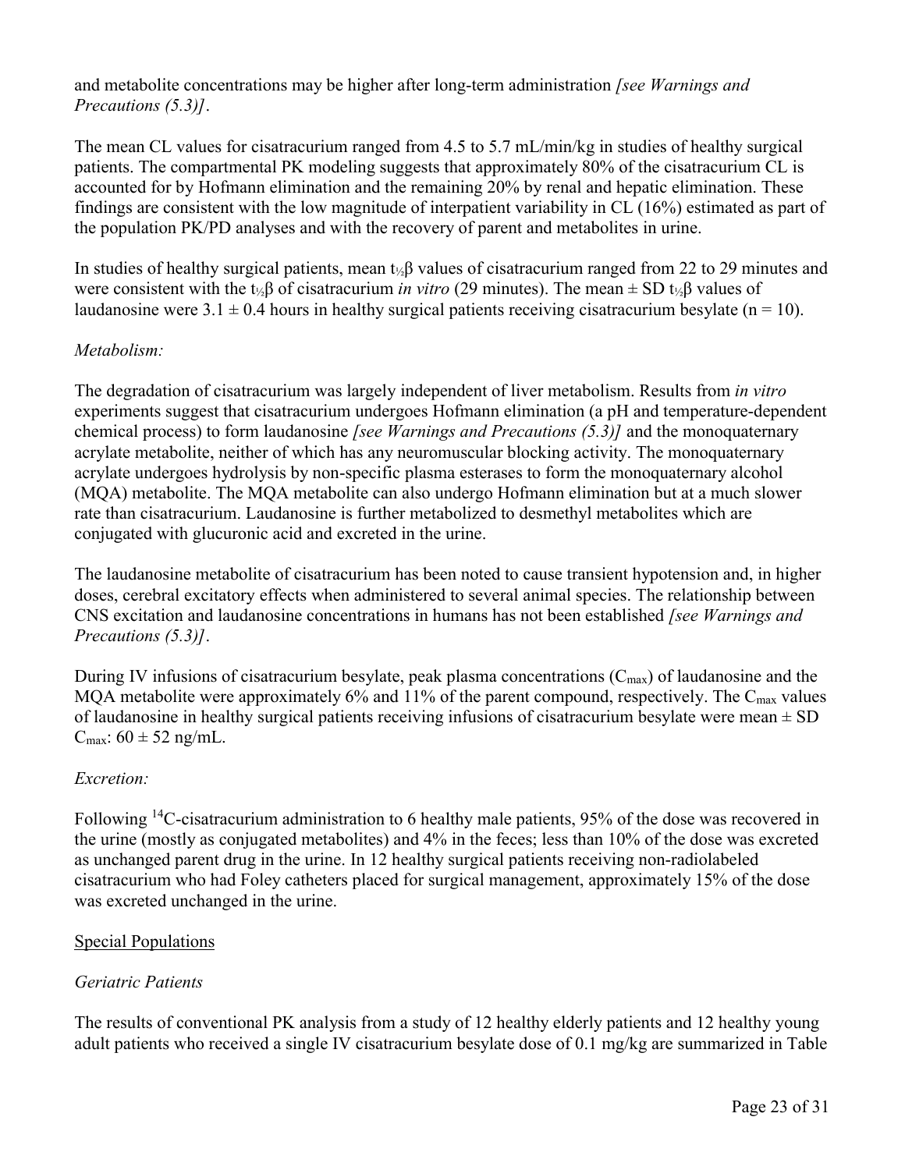and metabolite concentrations may be higher after long-term administration *[see Warnings and Precautions (5.3)]*.

The mean CL values for cisatracurium ranged from 4.5 to 5.7 mL/min/kg in studies of healthy surgical patients. The compartmental PK modeling suggests that approximately 80% of the cisatracurium CL is accounted for by Hofmann elimination and the remaining 20% by renal and hepatic elimination. These findings are consistent with the low magnitude of interpatient variability in CL (16%) estimated as part of the population PK/PD analyses and with the recovery of parent and metabolites in urine.

In studies of healthy surgical patients, mean t½β values of cisatracurium ranged from 22 to 29 minutes and were consistent with the t½β of cisatracurium *in vitro* (29 minutes). The mean ± SD t½β values of laudanosine were  $3.1 \pm 0.4$  hours in healthy surgical patients receiving cisatracurium besylate (n = 10).

## *Metabolism:*

The degradation of cisatracurium was largely independent of liver metabolism. Results from *in vitro*  experiments suggest that cisatracurium undergoes Hofmann elimination (a pH and temperature-dependent chemical process) to form laudanosine *[see Warnings and Precautions (5.3)]* and the monoquaternary acrylate metabolite, neither of which has any neuromuscular blocking activity. The monoquaternary acrylate undergoes hydrolysis by non-specific plasma esterases to form the monoquaternary alcohol (MQA) metabolite. The MQA metabolite can also undergo Hofmann elimination but at a much slower rate than cisatracurium. Laudanosine is further metabolized to desmethyl metabolites which are conjugated with glucuronic acid and excreted in the urine.

The laudanosine metabolite of cisatracurium has been noted to cause transient hypotension and, in higher doses, cerebral excitatory effects when administered to several animal species. The relationship between CNS excitation and laudanosine concentrations in humans has not been established *[see Warnings and Precautions (5.3)]*.

During IV infusions of cisatracurium besylate, peak plasma concentrations  $(C_{\text{max}})$  of laudanosine and the MQA metabolite were approximately  $6\%$  and 11% of the parent compound, respectively. The C<sub>max</sub> values of laudanosine in healthy surgical patients receiving infusions of cisatracurium besylate were mean  $\pm$  SD  $C_{\text{max}}$ : 60  $\pm$  52 ng/mL.

## *Excretion:*

Following <sup>14</sup>C-cisatracurium administration to 6 healthy male patients, 95% of the dose was recovered in the urine (mostly as conjugated metabolites) and 4% in the feces; less than 10% of the dose was excreted as unchanged parent drug in the urine. In 12 healthy surgical patients receiving non-radiolabeled cisatracurium who had Foley catheters placed for surgical management, approximately 15% of the dose was excreted unchanged in the urine.

## Special Populations

# *Geriatric Patients*

The results of conventional PK analysis from a study of 12 healthy elderly patients and 12 healthy young adult patients who received a single IV cisatracurium besylate dose of 0.1 mg/kg are summarized in Table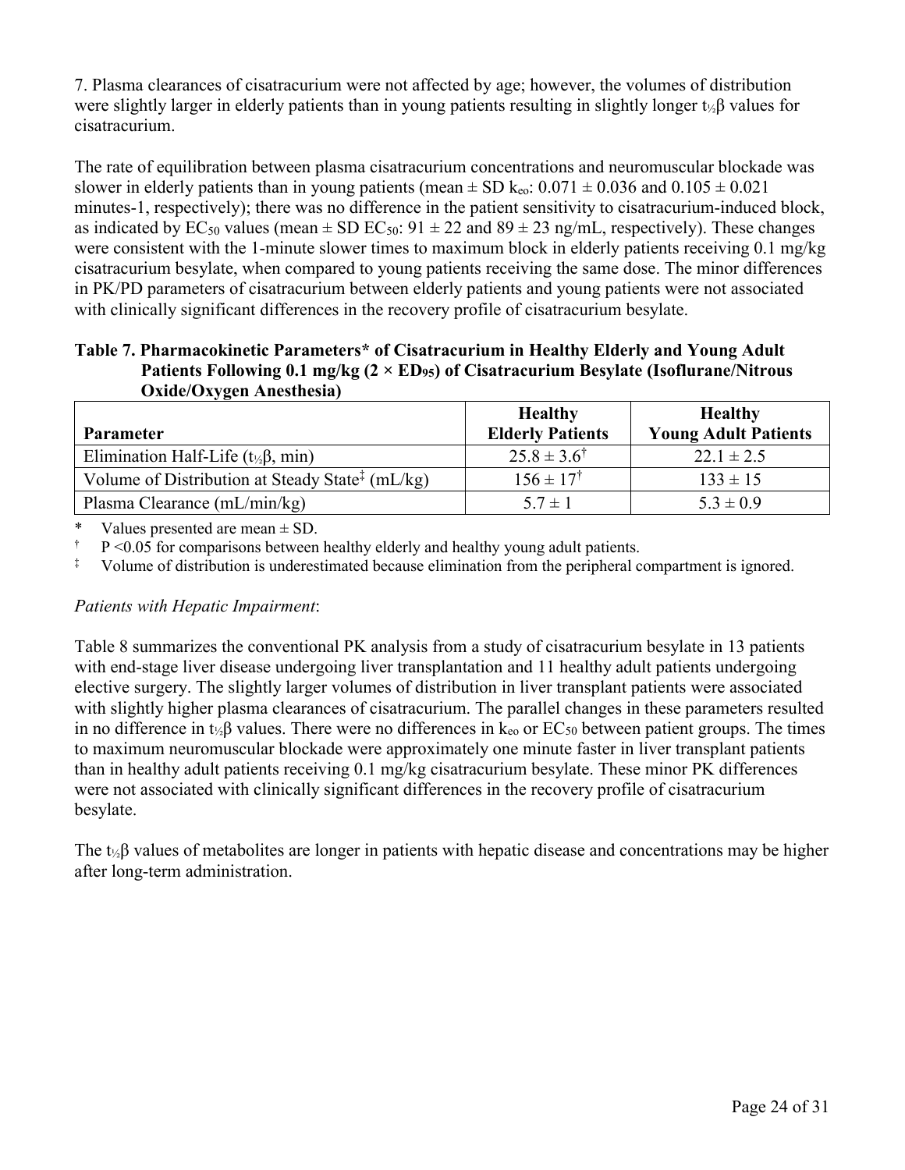7. Plasma clearances of cisatracurium were not affected by age; however, the volumes of distribution were slightly larger in elderly patients than in young patients resulting in slightly longer t½β values for cisatracurium.

The rate of equilibration between plasma cisatracurium concentrations and neuromuscular blockade was slower in elderly patients than in young patients (mean  $\pm$  SD k<sub>eo</sub>: 0.071  $\pm$  0.036 and 0.105  $\pm$  0.021 minutes-1, respectively); there was no difference in the patient sensitivity to cisatracurium-induced block, as indicated by  $EC_{50}$  values (mean  $\pm$  SD  $EC_{50}$ :  $91 \pm 22$  and  $89 \pm 23$  ng/mL, respectively). These changes were consistent with the 1-minute slower times to maximum block in elderly patients receiving 0.1 mg/kg cisatracurium besylate, when compared to young patients receiving the same dose. The minor differences in PK/PD parameters of cisatracurium between elderly patients and young patients were not associated with clinically significant differences in the recovery profile of cisatracurium besylate.

#### **Table 7. Pharmacokinetic Parameters\* of Cisatracurium in Healthy Elderly and Young Adult Patients Following 0.1 mg/kg (2 × ED95) of Cisatracurium Besylate (Isoflurane/Nitrous Oxide/Oxygen Anesthesia)**

| <b>Parameter</b>                                            | <b>Healthy</b><br><b>Elderly Patients</b> | <b>Healthy</b><br><b>Young Adult Patients</b> |
|-------------------------------------------------------------|-------------------------------------------|-----------------------------------------------|
| Elimination Half-Life ( $t_{\frac{1}{2}}\beta$ , min)       | $25.8 \pm 3.6^{\dagger}$                  | $22.1 \pm 2.5$                                |
| Volume of Distribution at Steady State <sup>‡</sup> (mL/kg) | $156 \pm 17^{\dagger}$                    | $133 \pm 15$                                  |
| Plasma Clearance $(mL/min/kg)$                              | $5.7 \pm 1$                               | $5.3 \pm 0.9$                                 |

\* Values presented are mean  $\pm$  SD.<br> $\frac{\uparrow}{}$  P < 0.05 for comparisons between

 $\uparrow$  P <0.05 for comparisons between healthy elderly and healthy young adult patients.<br>
Volume of distribution is underestimated because elimination from the peripheral c

Volume of distribution is underestimated because elimination from the peripheral compartment is ignored.

## *Patients with Hepatic Impairment*:

Table 8 summarizes the conventional PK analysis from a study of cisatracurium besylate in 13 patients with end-stage liver disease undergoing liver transplantation and 11 healthy adult patients undergoing elective surgery. The slightly larger volumes of distribution in liver transplant patients were associated with slightly higher plasma clearances of cisatracurium. The parallel changes in these parameters resulted in no difference in t<sub>½</sub>β values. There were no differences in  $k_{e0}$  or  $EC_{50}$  between patient groups. The times to maximum neuromuscular blockade were approximately one minute faster in liver transplant patients than in healthy adult patients receiving 0.1 mg/kg cisatracurium besylate. These minor PK differences were not associated with clinically significant differences in the recovery profile of cisatracurium besylate.

The t½β values of metabolites are longer in patients with hepatic disease and concentrations may be higher after long-term administration.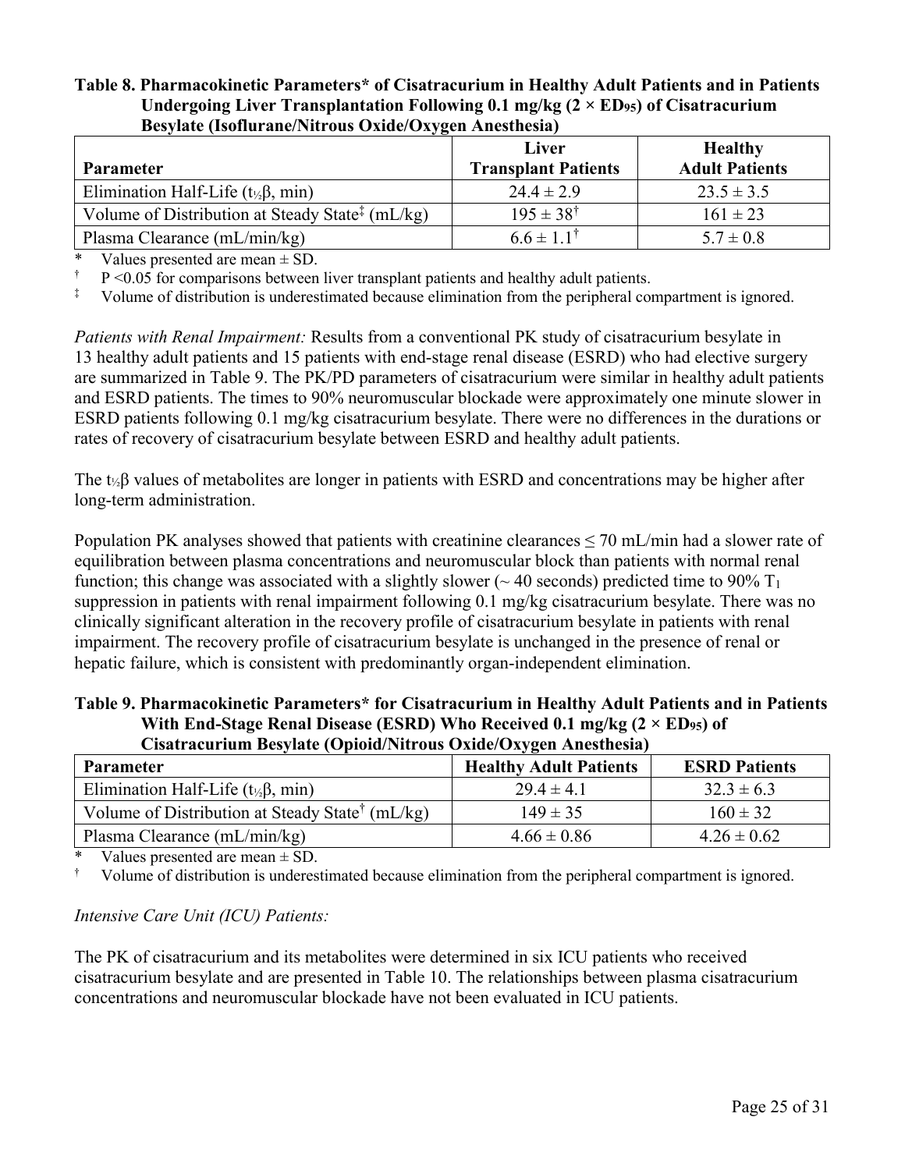#### **Table 8. Pharmacokinetic Parameters\* of Cisatracurium in Healthy Adult Patients and in Patients Undergoing Liver Transplantation Following 0.1 mg/kg (2 × ED95) of Cisatracurium Besylate (Isoflurane/Nitrous Oxide/Oxygen Anesthesia)**

|                                                                                 | <b>Liver</b>               | <b>Healthy</b>        |
|---------------------------------------------------------------------------------|----------------------------|-----------------------|
| <b>Parameter</b>                                                                | <b>Transplant Patients</b> | <b>Adult Patients</b> |
| Elimination Half-Life $(t_{1/2}\beta, min)$                                     | $24.4 \pm 2.9$             | $23.5 \pm 3.5$        |
| Volume of Distribution at Steady State <sup><math>\ddagger</math></sup> (mL/kg) | $195 \pm 38^{\dagger}$     | $161 \pm 23$          |
| Plasma Clearance (mL/min/kg)                                                    | $6.6 \pm 1.1^{\dagger}$    | $5.7 \pm 0.8$         |

\* Values presented are mean  $\pm$  SD.<br> $\frac{1}{2}$  P < 0.05 for comparisons between

† P <0.05 for comparisons between liver transplant patients and healthy adult patients.

‡ Volume of distribution is underestimated because elimination from the peripheral compartment is ignored.

*Patients with Renal Impairment:* Results from a conventional PK study of cisatracurium besylate in 13 healthy adult patients and 15 patients with end-stage renal disease (ESRD) who had elective surgery are summarized in Table 9. The PK/PD parameters of cisatracurium were similar in healthy adult patients and ESRD patients. The times to 90% neuromuscular blockade were approximately one minute slower in ESRD patients following 0.1 mg/kg cisatracurium besylate. There were no differences in the durations or rates of recovery of cisatracurium besylate between ESRD and healthy adult patients.

The t½β values of metabolites are longer in patients with ESRD and concentrations may be higher after long-term administration.

Population PK analyses showed that patients with creatinine clearances  $\leq$  70 mL/min had a slower rate of equilibration between plasma concentrations and neuromuscular block than patients with normal renal function; this change was associated with a slightly slower ( $\sim$  40 seconds) predicted time to 90% T<sub>1</sub> suppression in patients with renal impairment following 0.1 mg/kg cisatracurium besylate. There was no clinically significant alteration in the recovery profile of cisatracurium besylate in patients with renal impairment. The recovery profile of cisatracurium besylate is unchanged in the presence of renal or hepatic failure, which is consistent with predominantly organ-independent elimination.

#### **Table 9. Pharmacokinetic Parameters\* for Cisatracurium in Healthy Adult Patients and in Patients With End-Stage Renal Disease (ESRD) Who Received 0.1 mg/kg (2 × ED95) of Cisatracurium Besylate (Opioid/Nitrous Oxide/Oxygen Anesthesia)**

| Cisan acui ium Desyiate (Opioiu/Fith ous Oxiue/Oxygen Tritestitesia) |                               |                      |  |  |  |
|----------------------------------------------------------------------|-------------------------------|----------------------|--|--|--|
| <b>Parameter</b>                                                     | <b>Healthy Adult Patients</b> | <b>ESRD Patients</b> |  |  |  |
| Elimination Half-Life $(t_{\frac{1}{2}}\beta, min)$                  | $29.4 \pm 4.1$                | $32.3 \pm 6.3$       |  |  |  |
| Volume of Distribution at Steady State <sup>†</sup> (mL/kg)          | $149 \pm 35$                  | $160 \pm 32$         |  |  |  |
| Plasma Clearance $(mL/min/kg)$                                       | $4.66 \pm 0.86$               | $4.26 \pm 0.62$      |  |  |  |

Values presented are mean  $\pm$  SD.

† Volume of distribution is underestimated because elimination from the peripheral compartment is ignored.

## *Intensive Care Unit (ICU) Patients:*

The PK of cisatracurium and its metabolites were determined in six ICU patients who received cisatracurium besylate and are presented in Table 10. The relationships between plasma cisatracurium concentrations and neuromuscular blockade have not been evaluated in ICU patients.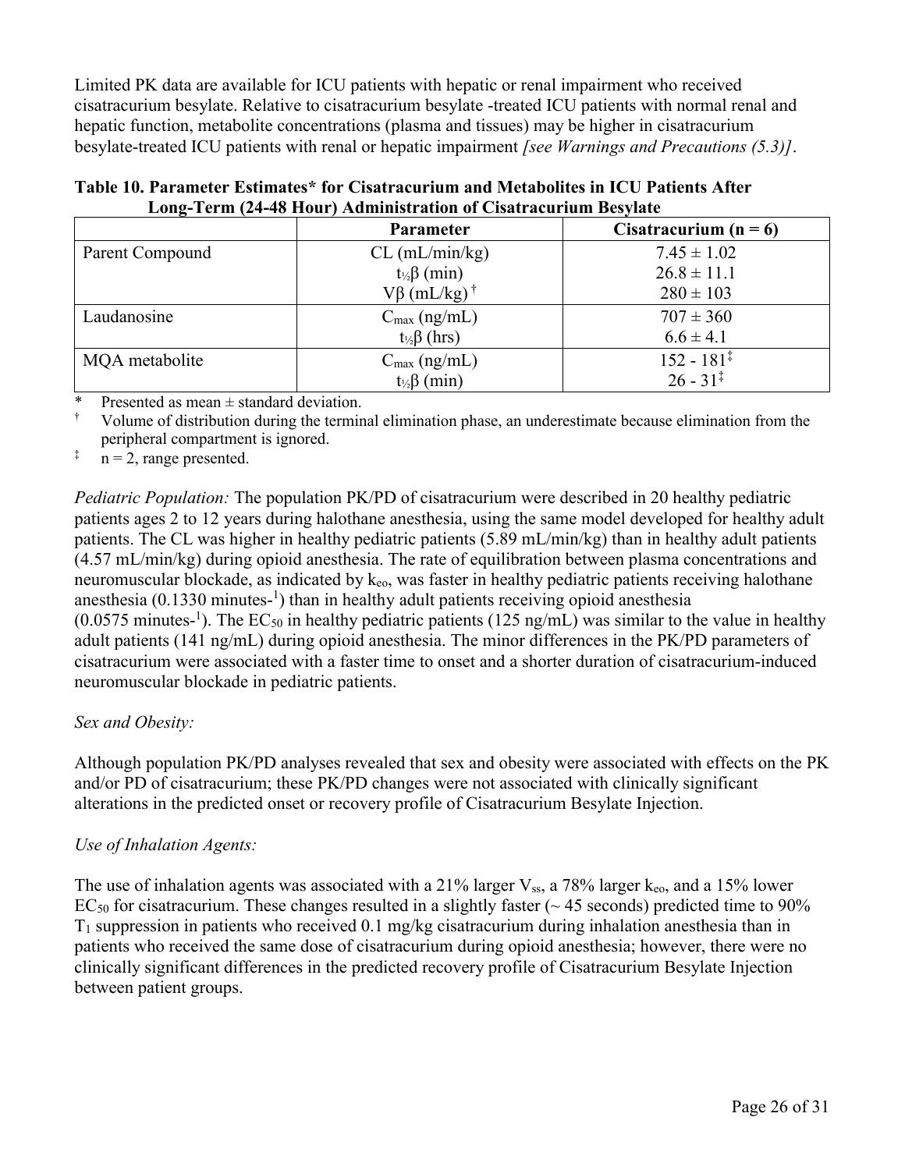Limited PK data are available for ICU patients with hepatic or renal impairment who received cisatracurium besylate. Relative to cisatracurium besylate -treated ICU patients with normal renal and hepatic function, metabolite concentrations (plasma and tissues) may be higher in cisatracurium besylate-treated ICU patients with renal or hepatic impairment *[see Warnings and Precautions (5.3)]*.

|                 | $\frac{1}{2}$ . The $\frac{1}{2}$ can be the set of the set of the set of $\frac{1}{2}$ . The set of $\frac{1}{2}$ in $\frac{1}{2}$ |                           |  |  |  |  |  |
|-----------------|-------------------------------------------------------------------------------------------------------------------------------------|---------------------------|--|--|--|--|--|
|                 | <b>Parameter</b>                                                                                                                    | Cisatracurium ( $n = 6$ ) |  |  |  |  |  |
| Parent Compound | $CL$ (mL/min/kg)                                                                                                                    |                           |  |  |  |  |  |
|                 | $t_{\frac{1}{2}}\beta$ (min)                                                                                                        | $26.8 \pm 11.1$           |  |  |  |  |  |
|                 | $V\beta$ (mL/kg) <sup>†</sup>                                                                                                       | $280 \pm 103$             |  |  |  |  |  |
| Laudanosine     | $C_{\text{max}}$ (ng/mL)                                                                                                            | $707 \pm 360$             |  |  |  |  |  |
|                 | $t_{\frac{1}{2}}\beta$ (hrs)                                                                                                        | $6.6 \pm 4.1$             |  |  |  |  |  |
| MQA metabolite  | $C_{\text{max}}$ (ng/mL)                                                                                                            | $152 - 181^{\ddagger}$    |  |  |  |  |  |
|                 | $t_{\frac{1}{2}}\beta$ (min)                                                                                                        | $26 - 31^{\ddagger}$      |  |  |  |  |  |

#### **Table 10. Parameter Estimates\* for Cisatracurium and Metabolites in ICU Patients After Long-Term (24-48 Hour) Administration of Cisatracurium Besylate**

Presented as mean  $\pm$  standard deviation.

† Volume of distribution during the terminal elimination phase, an underestimate because elimination from the peripheral compartment is ignored.

 $\bar{i}$  n = 2, range presented.

*Pediatric Population:* The population PK/PD of cisatracurium were described in 20 healthy pediatric patients ages 2 to 12 years during halothane anesthesia, using the same model developed for healthy adult patients. The CL was higher in healthy pediatric patients (5.89 mL/min/kg) than in healthy adult patients (4.57 mL/min/kg) during opioid anesthesia. The rate of equilibration between plasma concentrations and neuromuscular blockade, as indicated by  $k_{e0}$ , was faster in healthy pediatric patients receiving halothane anesthesia (0.1330 minutes-1 ) than in healthy adult patients receiving opioid anesthesia  $(0.0575 \text{ minutes}^{-1})$ . The EC<sub>50</sub> in healthy pediatric patients (125 ng/mL) was similar to the value in healthy adult patients (141 ng/mL) during opioid anesthesia. The minor differences in the PK/PD parameters of cisatracurium were associated with a faster time to onset and a shorter duration of cisatracurium-induced neuromuscular blockade in pediatric patients.

# *Sex and Obesity:*

Although population PK/PD analyses revealed that sex and obesity were associated with effects on the PK and/or PD of cisatracurium; these PK/PD changes were not associated with clinically significant alterations in the predicted onset or recovery profile of Cisatracurium Besylate Injection.

# *Use of Inhalation Agents:*

The use of inhalation agents was associated with a 21% larger  $V_{ss}$ , a 78% larger  $k_{\rm eo}$ , and a 15% lower  $EC_{50}$  for cisatracurium. These changes resulted in a slightly faster ( $\sim$  45 seconds) predicted time to 90%  $T_1$  suppression in patients who received 0.1 mg/kg cisatracurium during inhalation anesthesia than in patients who received the same dose of cisatracurium during opioid anesthesia; however, there were no clinically significant differences in the predicted recovery profile of Cisatracurium Besylate Injection between patient groups.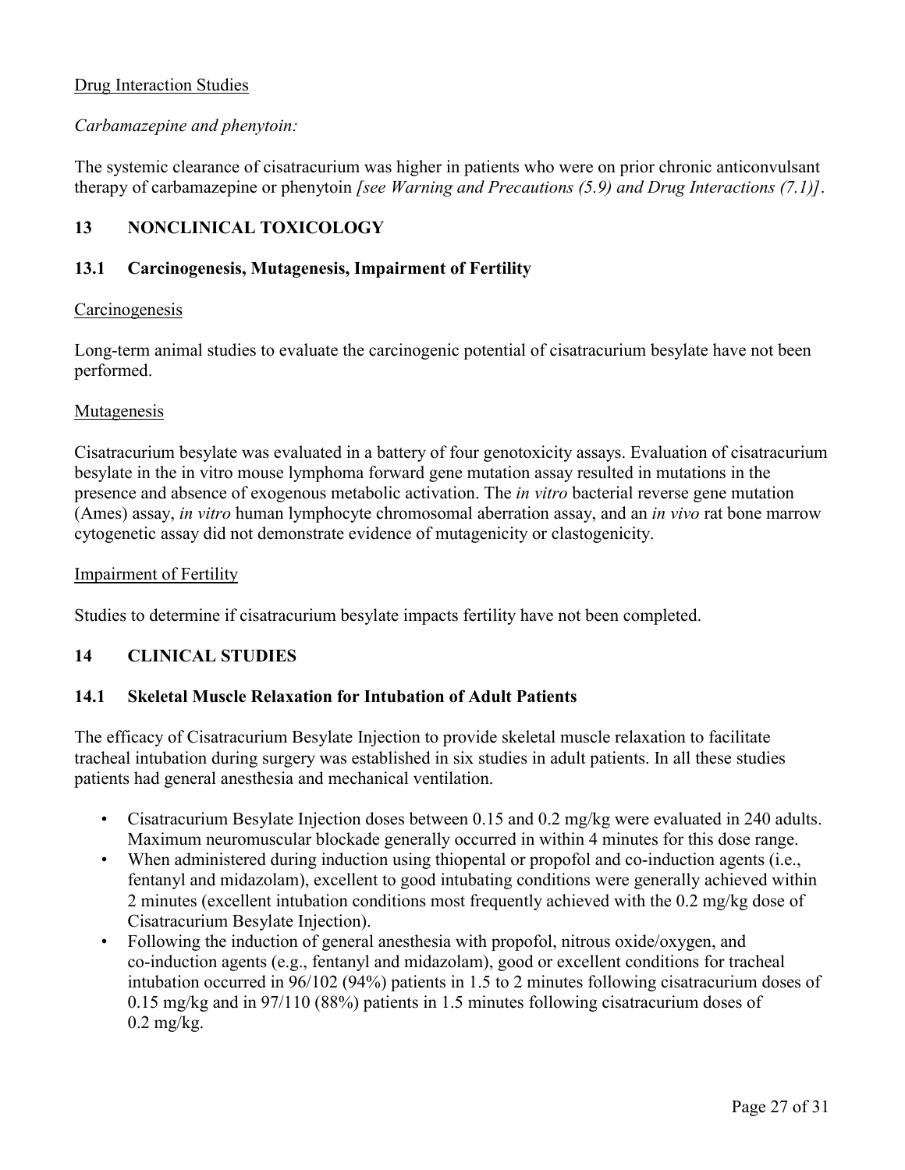#### Drug Interaction Studies

#### *Carbamazepine and phenytoin:*

The systemic clearance of cisatracurium was higher in patients who were on prior chronic anticonvulsant therapy of carbamazepine or phenytoin *[see Warning and Precautions (5.9) and Drug Interactions (7.1)]*.

# **13 NONCLINICAL TOXICOLOGY**

#### **13.1 Carcinogenesis, Mutagenesis, Impairment of Fertility**

#### Carcinogenesis

Long-term animal studies to evaluate the carcinogenic potential of cisatracurium besylate have not been performed.

#### Mutagenesis

Cisatracurium besylate was evaluated in a battery of four genotoxicity assays. Evaluation of cisatracurium besylate in the in vitro mouse lymphoma forward gene mutation assay resulted in mutations in the presence and absence of exogenous metabolic activation. The *in vitro* bacterial reverse gene mutation (Ames) assay, *in vitro* human lymphocyte chromosomal aberration assay, and an *in vivo* rat bone marrow cytogenetic assay did not demonstrate evidence of mutagenicity or clastogenicity.

#### Impairment of Fertility

Studies to determine if cisatracurium besylate impacts fertility have not been completed.

#### **14 CLINICAL STUDIES**

#### **14.1 Skeletal Muscle Relaxation for Intubation of Adult Patients**

The efficacy of Cisatracurium Besylate Injection to provide skeletal muscle relaxation to facilitate tracheal intubation during surgery was established in six studies in adult patients. In all these studies patients had general anesthesia and mechanical ventilation.

- Cisatracurium Besylate Injection doses between 0.15 and 0.2 mg/kg were evaluated in 240 adults. Maximum neuromuscular blockade generally occurred in within 4 minutes for this dose range.
- When administered during induction using thiopental or propofol and co-induction agents (i.e., fentanyl and midazolam), excellent to good intubating conditions were generally achieved within 2 minutes (excellent intubation conditions most frequently achieved with the 0.2 mg/kg dose of Cisatracurium Besylate Injection).
- Following the induction of general anesthesia with propofol, nitrous oxide/oxygen, and co-induction agents (e.g., fentanyl and midazolam), good or excellent conditions for tracheal intubation occurred in 96/102 (94%) patients in 1.5 to 2 minutes following cisatracurium doses of 0.15 mg/kg and in 97/110 (88%) patients in 1.5 minutes following cisatracurium doses of  $0.2$  mg/kg.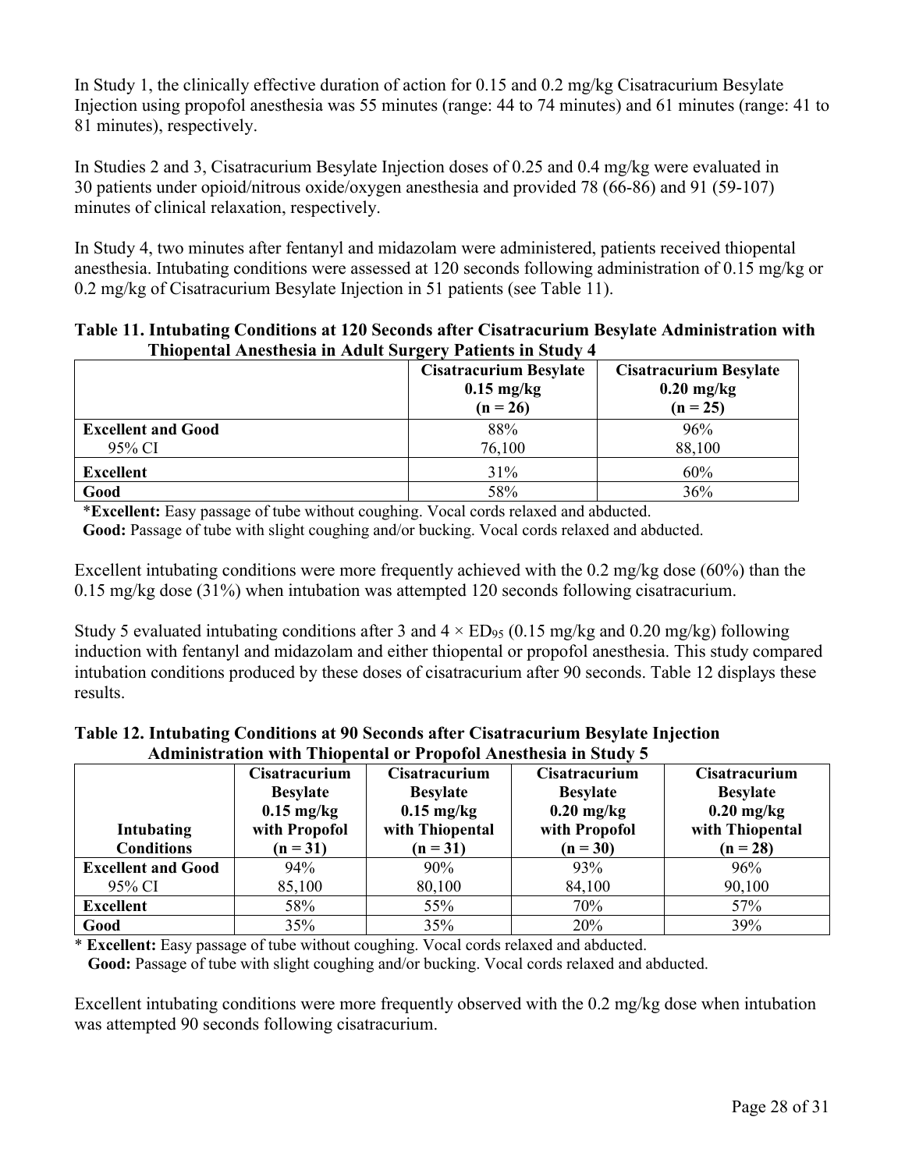In Study 1, the clinically effective duration of action for 0.15 and 0.2 mg/kg Cisatracurium Besylate Injection using propofol anesthesia was 55 minutes (range: 44 to 74 minutes) and 61 minutes (range: 41 to 81 minutes), respectively.

In Studies 2 and 3, Cisatracurium Besylate Injection doses of 0.25 and 0.4 mg/kg were evaluated in 30 patients under opioid/nitrous oxide/oxygen anesthesia and provided 78 (66-86) and 91 (59-107) minutes of clinical relaxation, respectively.

In Study 4, two minutes after fentanyl and midazolam were administered, patients received thiopental anesthesia. Intubating conditions were assessed at 120 seconds following administration of 0.15 mg/kg or 0.2 mg/kg of Cisatracurium Besylate Injection in 51 patients (see Table 11).

| Table 11. Intubating Conditions at 120 Seconds after Cisatracurium Besylate Administration with |  |  |  |
|-------------------------------------------------------------------------------------------------|--|--|--|
| Thiopental Anesthesia in Adult Surgery Patients in Study 4                                      |  |  |  |

|                                     | <b>Cisatracurium Besylate</b><br>$0.15$ mg/kg<br>$(n = 26)$ | <b>Cisatracurium Besylate</b><br>$0.20$ mg/kg<br>$(n = 25)$ |
|-------------------------------------|-------------------------------------------------------------|-------------------------------------------------------------|
| <b>Excellent and Good</b><br>95% CI | 88%<br>76,100                                               | 96%<br>88,100                                               |
| <b>Excellent</b>                    | 31%                                                         | 60%                                                         |
| Good                                | 58%                                                         | 36%                                                         |

\***Excellent:** Easy passage of tube without coughing. Vocal cords relaxed and abducted.

Good: Passage of tube with slight coughing and/or bucking. Vocal cords relaxed and abducted.

Excellent intubating conditions were more frequently achieved with the 0.2 mg/kg dose (60%) than the 0.15 mg/kg dose (31%) when intubation was attempted 120 seconds following cisatracurium.

Study 5 evaluated intubating conditions after 3 and  $4 \times ED_{95}$  (0.15 mg/kg and 0.20 mg/kg) following induction with fentanyl and midazolam and either thiopental or propofol anesthesia. This study compared intubation conditions produced by these doses of cisatracurium after 90 seconds. Table 12 displays these results.

| Table 12, Intubating Conditions at 70 Seconds and Cisati acui ium Desylate Infection |                                                                |                                          |                                          |                                                                |  |
|--------------------------------------------------------------------------------------|----------------------------------------------------------------|------------------------------------------|------------------------------------------|----------------------------------------------------------------|--|
| <b>Administration with Thiopental or Propofol Anesthesia in Study 5</b>              |                                                                |                                          |                                          |                                                                |  |
|                                                                                      | <b>Cisatracurium</b>                                           | Cisatracurium                            | <b>Cisatracurium</b>                     | <b>Cisatracuri</b>                                             |  |
|                                                                                      | $\mathbf{D}_{\alpha\alpha}$ <sub>1</sub> $\mathbf{A}_{\alpha}$ | $\mathbf{D}_{\alpha\alpha}$ <sub>1</sub> | $\mathbf{D}_{\alpha\alpha}$ <sub>U</sub> | $\mathbf{p}_{\alpha\alpha}$ <sub>d</sub> $\mathbf{p}_{\alpha}$ |  |

**Table 12. Intubating Conditions at 90 Seconds after Cisatracurium Besylate Injection**

|                           | Cisatracurium   | Cisatracurium   | Cisatracurium   | Cisatracurium   |
|---------------------------|-----------------|-----------------|-----------------|-----------------|
|                           | <b>Besylate</b> | <b>Besylate</b> | <b>Besylate</b> | <b>Besylate</b> |
|                           | $0.15$ mg/kg    | $0.15$ mg/kg    | $0.20$ mg/kg    | $0.20$ mg/kg    |
| Intubating                | with Propofol   | with Thiopental | with Propofol   | with Thiopental |
| <b>Conditions</b>         | $(n = 31)$      | $(n = 31)$      | $(n = 30)$      | $(n = 28)$      |
| <b>Excellent and Good</b> | 94%             | 90%             | 93%             | 96%             |
| 95% CI                    | 85,100          | 80,100          | 84,100          | 90,100          |
| <b>Excellent</b>          | 58%             | 55%             | 70%             | 57%             |
| Good                      | 35%             | 35%             | 20%             | 39%             |

\* **Excellent:** Easy passage of tube without coughing. Vocal cords relaxed and abducted.

**Good:** Passage of tube with slight coughing and/or bucking. Vocal cords relaxed and abducted.

Excellent intubating conditions were more frequently observed with the 0.2 mg/kg dose when intubation was attempted 90 seconds following cisatracurium.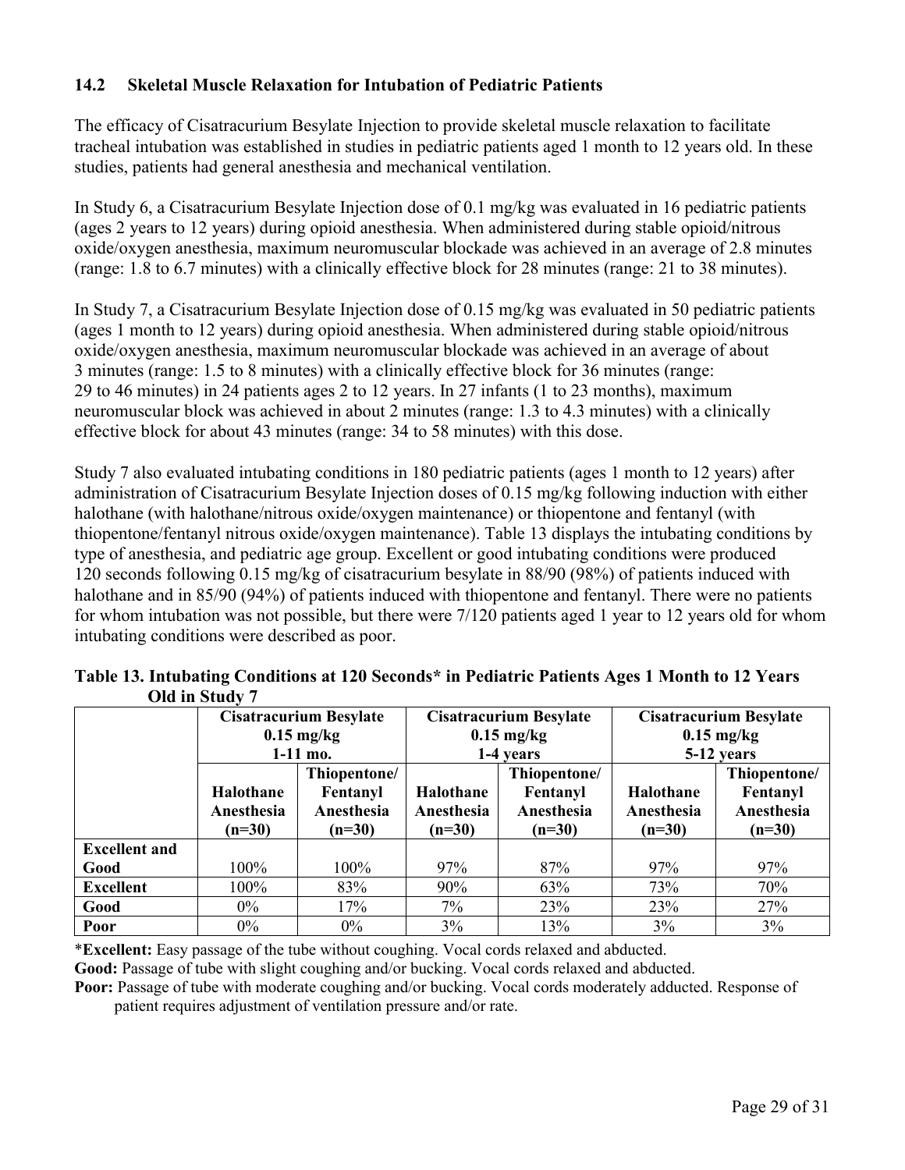# **14.2 Skeletal Muscle Relaxation for Intubation of Pediatric Patients**

The efficacy of Cisatracurium Besylate Injection to provide skeletal muscle relaxation to facilitate tracheal intubation was established in studies in pediatric patients aged 1 month to 12 years old. In these studies, patients had general anesthesia and mechanical ventilation.

In Study 6, a Cisatracurium Besylate Injection dose of 0.1 mg/kg was evaluated in 16 pediatric patients (ages 2 years to 12 years) during opioid anesthesia. When administered during stable opioid/nitrous oxide/oxygen anesthesia, maximum neuromuscular blockade was achieved in an average of 2.8 minutes (range: 1.8 to 6.7 minutes) with a clinically effective block for 28 minutes (range: 21 to 38 minutes).

In Study 7, a Cisatracurium Besylate Injection dose of 0.15 mg/kg was evaluated in 50 pediatric patients (ages 1 month to 12 years) during opioid anesthesia. When administered during stable opioid/nitrous oxide/oxygen anesthesia, maximum neuromuscular blockade was achieved in an average of about 3 minutes (range: 1.5 to 8 minutes) with a clinically effective block for 36 minutes (range: 29 to 46 minutes) in 24 patients ages 2 to 12 years. In 27 infants (1 to 23 months), maximum neuromuscular block was achieved in about 2 minutes (range: 1.3 to 4.3 minutes) with a clinically effective block for about 43 minutes (range: 34 to 58 minutes) with this dose.

Study 7 also evaluated intubating conditions in 180 pediatric patients (ages 1 month to 12 years) after administration of Cisatracurium Besylate Injection doses of 0.15 mg/kg following induction with either halothane (with halothane/nitrous oxide/oxygen maintenance) or thiopentone and fentanyl (with thiopentone/fentanyl nitrous oxide/oxygen maintenance). Table 13 displays the intubating conditions by type of anesthesia, and pediatric age group. Excellent or good intubating conditions were produced 120 seconds following 0.15 mg/kg of cisatracurium besylate in 88/90 (98%) of patients induced with halothane and in 85/90 (94%) of patients induced with thiopentone and fentanyl. There were no patients for whom intubation was not possible, but there were 7/120 patients aged 1 year to 12 years old for whom intubating conditions were described as poor.

|                |  | Table 13. Intubating Conditions at 120 Seconds* in Pediatric Patients Ages 1 Month to 12 Years |
|----------------|--|------------------------------------------------------------------------------------------------|
| Old in Study 7 |  |                                                                                                |

|                      | <b>Cisatracurium Besylate</b><br>$0.15$ mg/kg |                                                    | <b>Cisatracurium Besylate</b><br>$0.15$ mg/kg |                                                    | <b>Cisatracurium Besylate</b><br>$0.15$ mg/kg |                                                    |
|----------------------|-----------------------------------------------|----------------------------------------------------|-----------------------------------------------|----------------------------------------------------|-----------------------------------------------|----------------------------------------------------|
|                      | $1-11$ mo.                                    |                                                    | 1-4 years                                     |                                                    | 5-12 years                                    |                                                    |
|                      | <b>Halothane</b><br>Anesthesia<br>$(n=30)$    | Thiopentone/<br>Fentanyl<br>Anesthesia<br>$(n=30)$ | <b>Halothane</b><br>Anesthesia<br>$(n=30)$    | Thiopentone/<br>Fentanyl<br>Anesthesia<br>$(n=30)$ | <b>Halothane</b><br>Anesthesia<br>$(n=30)$    | Thiopentone/<br>Fentanyl<br>Anesthesia<br>$(n=30)$ |
| <b>Excellent and</b> |                                               |                                                    |                                               |                                                    |                                               |                                                    |
| Good                 | $100\%$                                       | 100%                                               | 97%                                           | 87%                                                | 97%                                           | 97%                                                |
| <b>Excellent</b>     | 100%                                          | 83%                                                | 90%                                           | 63%                                                | 73%                                           | 70%                                                |
| Good                 | $0\%$                                         | 17%                                                | 7%                                            | 23%                                                | 23%                                           | 27%                                                |
| Poor                 | $0\%$                                         | $0\%$                                              | $3\%$                                         | 13%                                                | 3%                                            | 3%                                                 |

\***Excellent:** Easy passage of the tube without coughing. Vocal cords relaxed and abducted.

Good: Passage of tube with slight coughing and/or bucking. Vocal cords relaxed and abducted.

**Poor:** Passage of tube with moderate coughing and/or bucking. Vocal cords moderately adducted. Response of patient requires adjustment of ventilation pressure and/or rate.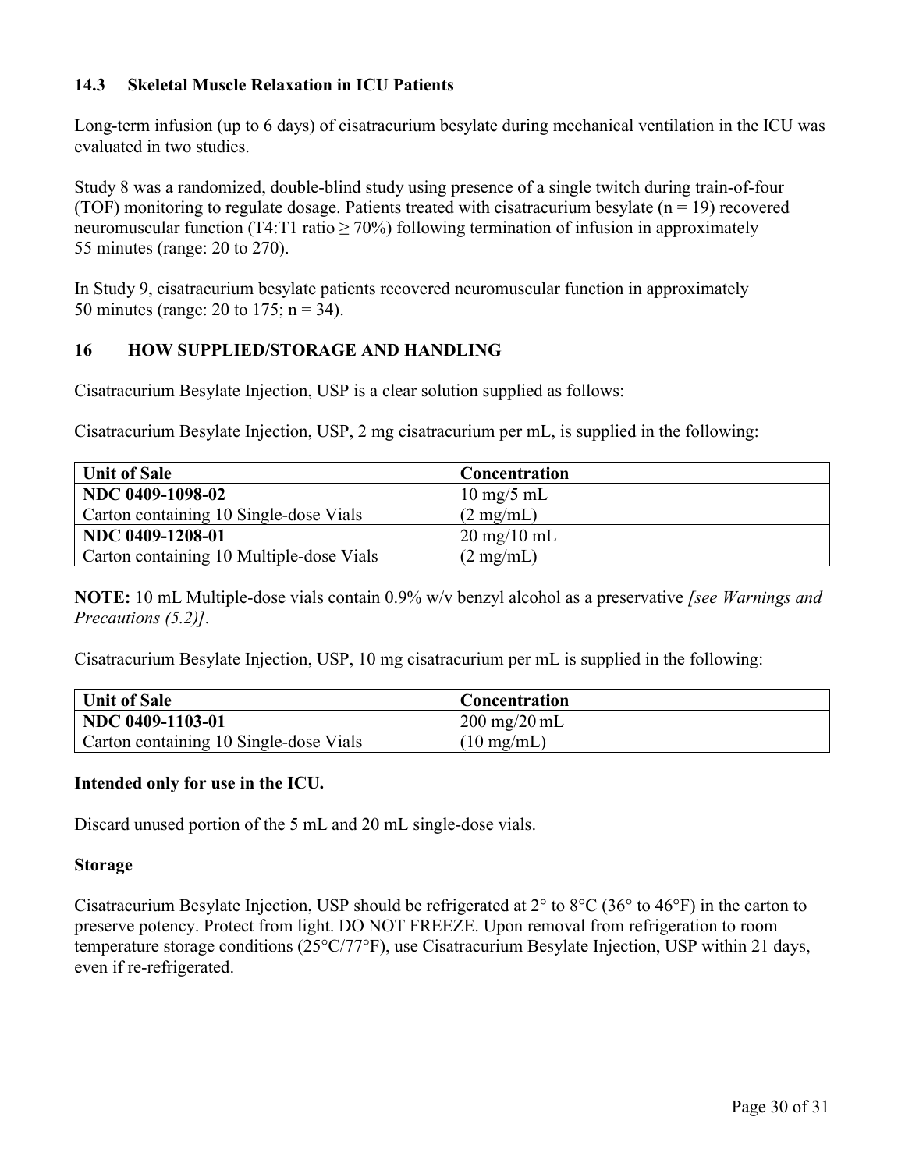## **14.3 Skeletal Muscle Relaxation in ICU Patients**

Long-term infusion (up to 6 days) of cisatracurium besylate during mechanical ventilation in the ICU was evaluated in two studies.

Study 8 was a randomized, double-blind study using presence of a single twitch during train-of-four (TOF) monitoring to regulate dosage. Patients treated with cisatracurium besylate ( $n = 19$ ) recovered neuromuscular function (T4:T1 ratio  $\geq$  70%) following termination of infusion in approximately 55 minutes (range: 20 to 270).

In Study 9, cisatracurium besylate patients recovered neuromuscular function in approximately 50 minutes (range: 20 to 175; n = 34).

## **16 HOW SUPPLIED/STORAGE AND HANDLING**

Cisatracurium Besylate Injection, USP is a clear solution supplied as follows:

Cisatracurium Besylate Injection, USP, 2 mg cisatracurium per mL, is supplied in the following:

| Unit of Sale                             | Concentration                 |
|------------------------------------------|-------------------------------|
| NDC 0409-1098-02                         | $10 \text{ mg}/5 \text{ mL}$  |
| Carton containing 10 Single-dose Vials   | $(2 \text{ mg/mL})$           |
| NDC 0409-1208-01                         | $20 \text{ mg}/10 \text{ mL}$ |
| Carton containing 10 Multiple-dose Vials | $(2 \text{ mg/mL})$           |

**NOTE:** 10 mL Multiple-dose vials contain 0.9% w/v benzyl alcohol as a preservative *[see Warnings and Precautions (5.2)].*

Cisatracurium Besylate Injection, USP, 10 mg cisatracurium per mL is supplied in the following:

| Unit of Sale                           | <b>Concentration</b>            |
|----------------------------------------|---------------------------------|
| NDC 0409-1103-01                       | $1200 \text{ mg}/20 \text{ mL}$ |
| Carton containing 10 Single-dose Vials | $(10 \text{ mg/mL})$            |

## **Intended only for use in the ICU.**

Discard unused portion of the 5 mL and 20 mL single-dose vials.

#### **Storage**

Cisatracurium Besylate Injection, USP should be refrigerated at  $2^{\circ}$  to  $8^{\circ}C$  (36° to 46°F) in the carton to preserve potency. Protect from light. DO NOT FREEZE. Upon removal from refrigeration to room temperature storage conditions (25°C/77°F), use Cisatracurium Besylate Injection, USP within 21 days, even if re-refrigerated.